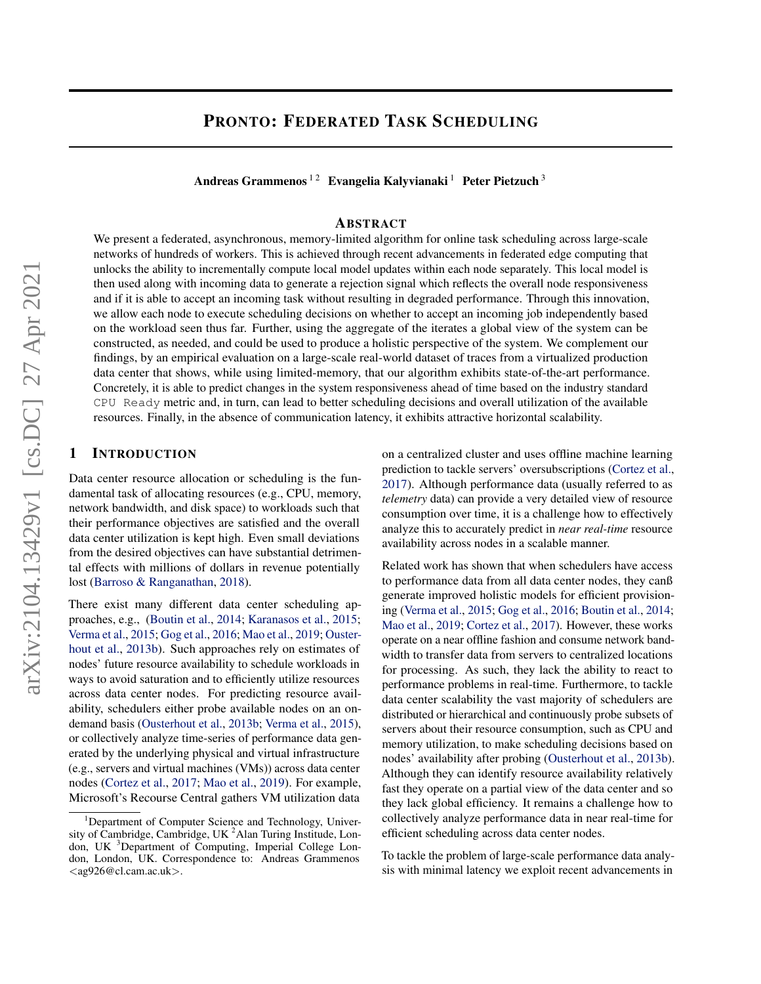# <span id="page-0-0"></span>PRONTO: FEDERATED TASK SCHEDULING

Andreas Grammenos<sup>12</sup> Evangelia Kalyvianaki<sup>1</sup> Peter Pietzuch<sup>3</sup>

## ABSTRACT

We present a federated, asynchronous, memory-limited algorithm for online task scheduling across large-scale networks of hundreds of workers. This is achieved through recent advancements in federated edge computing that unlocks the ability to incrementally compute local model updates within each node separately. This local model is then used along with incoming data to generate a rejection signal which reflects the overall node responsiveness and if it is able to accept an incoming task without resulting in degraded performance. Through this innovation, we allow each node to execute scheduling decisions on whether to accept an incoming job independently based on the workload seen thus far. Further, using the aggregate of the iterates a global view of the system can be constructed, as needed, and could be used to produce a holistic perspective of the system. We complement our findings, by an empirical evaluation on a large-scale real-world dataset of traces from a virtualized production data center that shows, while using limited-memory, that our algorithm exhibits state-of-the-art performance. Concretely, it is able to predict changes in the system responsiveness ahead of time based on the industry standard CPU Ready metric and, in turn, can lead to better scheduling decisions and overall utilization of the available resources. Finally, in the absence of communication latency, it exhibits attractive horizontal scalability.

# 1 INTRODUCTION

Data center resource allocation or scheduling is the fundamental task of allocating resources (e.g., CPU, memory, network bandwidth, and disk space) to workloads such that their performance objectives are satisfied and the overall data center utilization is kept high. Even small deviations from the desired objectives can have substantial detrimental effects with millions of dollars in revenue potentially lost [\(Barroso & Ranganathan,](#page-13-0) [2018\)](#page-13-0).

There exist many different data center scheduling approaches, e.g., [\(Boutin et al.,](#page-13-0) [2014;](#page-13-0) [Karanasos et al.,](#page-14-0) [2015;](#page-14-0) [Verma et al.,](#page-15-0) [2015;](#page-15-0) [Gog et al.,](#page-14-0) [2016;](#page-14-0) [Mao et al.,](#page-14-0) [2019;](#page-14-0) [Ouster](#page-15-0)[hout et al.,](#page-15-0) [2013b\)](#page-15-0). Such approaches rely on estimates of nodes' future resource availability to schedule workloads in ways to avoid saturation and to efficiently utilize resources across data center nodes. For predicting resource availability, schedulers either probe available nodes on an ondemand basis [\(Ousterhout et al.,](#page-15-0) [2013b;](#page-15-0) [Verma et al.,](#page-15-0) [2015\)](#page-15-0), or collectively analyze time-series of performance data generated by the underlying physical and virtual infrastructure (e.g., servers and virtual machines (VMs)) across data center nodes [\(Cortez et al.,](#page-14-0) [2017;](#page-14-0) [Mao et al.,](#page-14-0) [2019\)](#page-14-0). For example, Microsoft's Recourse Central gathers VM utilization data

on a centralized cluster and uses offline machine learning prediction to tackle servers' oversubscriptions [\(Cortez et al.,](#page-14-0) [2017\)](#page-14-0). Although performance data (usually referred to as *telemetry* data) can provide a very detailed view of resource consumption over time, it is a challenge how to effectively analyze this to accurately predict in *near real-time* resource availability across nodes in a scalable manner.

Related work has shown that when schedulers have access to performance data from all data center nodes, they canß generate improved holistic models for efficient provisioning [\(Verma et al.,](#page-15-0) [2015;](#page-15-0) [Gog et al.,](#page-14-0) [2016;](#page-14-0) [Boutin et al.,](#page-13-0) [2014;](#page-13-0) [Mao et al.,](#page-14-0) [2019;](#page-14-0) [Cortez et al.,](#page-14-0) [2017\)](#page-14-0). However, these works operate on a near offline fashion and consume network bandwidth to transfer data from servers to centralized locations for processing. As such, they lack the ability to react to performance problems in real-time. Furthermore, to tackle data center scalability the vast majority of schedulers are distributed or hierarchical and continuously probe subsets of servers about their resource consumption, such as CPU and memory utilization, to make scheduling decisions based on nodes' availability after probing [\(Ousterhout et al.,](#page-15-0) [2013b\)](#page-15-0). Although they can identify resource availability relatively fast they operate on a partial view of the data center and so they lack global efficiency. It remains a challenge how to collectively analyze performance data in near real-time for efficient scheduling across data center nodes.

To tackle the problem of large-scale performance data analysis with minimal latency we exploit recent advancements in

<sup>&</sup>lt;sup>1</sup>Department of Computer Science and Technology, University of Cambridge, Cambridge, UK<sup>2</sup>Alan Turing Institude, London, UK <sup>3</sup>Department of Computing, Imperial College London, London, UK. Correspondence to: Andreas Grammenos  $\langle$ ag926@cl.cam.ac.uk $\rangle$ .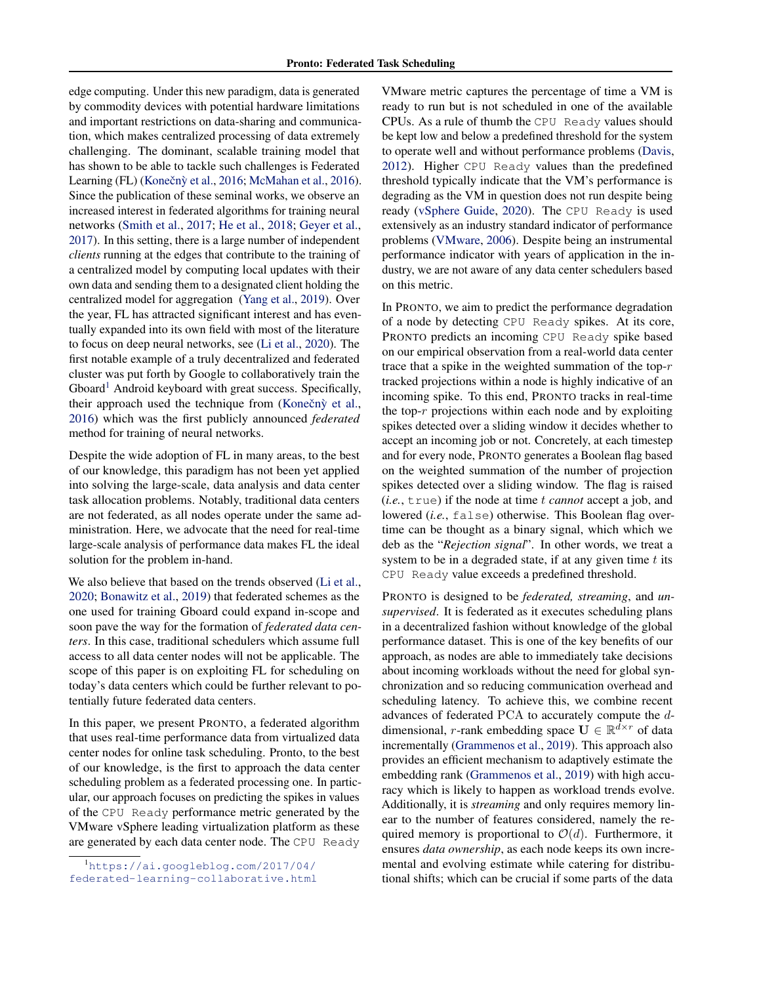edge computing. Under this new paradigm, data is generated by commodity devices with potential hardware limitations and important restrictions on data-sharing and communication, which makes centralized processing of data extremely challenging. The dominant, scalable training model that has shown to be able to tackle such challenges is Federated Learning (FL) (Konečnỳ et al., [2016;](#page-14-0) [McMahan et al.,](#page-14-0) [2016\)](#page-14-0). Since the publication of these seminal works, we observe an increased interest in federated algorithms for training neural networks [\(Smith et al.,](#page-15-0) [2017;](#page-15-0) [He et al.,](#page-14-0) [2018;](#page-14-0) [Geyer et al.,](#page-14-0) [2017\)](#page-14-0). In this setting, there is a large number of independent *clients* running at the edges that contribute to the training of a centralized model by computing local updates with their own data and sending them to a designated client holding the centralized model for aggregation [\(Yang et al.,](#page-16-0) [2019\)](#page-16-0). Over the year, FL has attracted significant interest and has eventually expanded into its own field with most of the literature to focus on deep neural networks, see [\(Li et al.,](#page-14-0) [2020\)](#page-14-0). The first notable example of a truly decentralized and federated cluster was put forth by Google to collaboratively train the Gboard<sup>[1](#page-0-0)</sup> Android keyboard with great success. Specifically, their approach used the technique from (Konečn $\hat{y}$  et al., [2016\)](#page-14-0) which was the first publicly announced *federated* method for training of neural networks.

Despite the wide adoption of FL in many areas, to the best of our knowledge, this paradigm has not been yet applied into solving the large-scale, data analysis and data center task allocation problems. Notably, traditional data centers are not federated, as all nodes operate under the same administration. Here, we advocate that the need for real-time large-scale analysis of performance data makes FL the ideal solution for the problem in-hand.

We also believe that based on the trends observed [\(Li et al.,](#page-14-0) [2020;](#page-14-0) [Bonawitz et al.,](#page-13-0) [2019\)](#page-13-0) that federated schemes as the one used for training Gboard could expand in-scope and soon pave the way for the formation of *federated data centers*. In this case, traditional schedulers which assume full access to all data center nodes will not be applicable. The scope of this paper is on exploiting FL for scheduling on today's data centers which could be further relevant to potentially future federated data centers.

In this paper, we present PRONTO, a federated algorithm that uses real-time performance data from virtualized data center nodes for online task scheduling. Pronto, to the best of our knowledge, is the first to approach the data center scheduling problem as a federated processing one. In particular, our approach focuses on predicting the spikes in values of the CPU Ready performance metric generated by the VMware vSphere leading virtualization platform as these are generated by each data center node. The CPU Ready

VMware metric captures the percentage of time a VM is ready to run but is not scheduled in one of the available CPUs. As a rule of thumb the CPU Ready values should be kept low and below a predefined threshold for the system to operate well and without performance problems [\(Davis,](#page-14-0) [2012\)](#page-14-0). Higher CPU Ready values than the predefined threshold typically indicate that the VM's performance is degrading as the VM in question does not run despite being ready [\(vSphere Guide,](#page-15-0) [2020\)](#page-15-0). The CPU Ready is used extensively as an industry standard indicator of performance problems [\(VMware,](#page-15-0) [2006\)](#page-15-0). Despite being an instrumental performance indicator with years of application in the industry, we are not aware of any data center schedulers based on this metric.

In PRONTO, we aim to predict the performance degradation of a node by detecting CPU Ready spikes. At its core, PRONTO predicts an incoming CPU Ready spike based on our empirical observation from a real-world data center trace that a spike in the weighted summation of the top- $r$ tracked projections within a node is highly indicative of an incoming spike. To this end, PRONTO tracks in real-time the top- $r$  projections within each node and by exploiting spikes detected over a sliding window it decides whether to accept an incoming job or not. Concretely, at each timestep and for every node, PRONTO generates a Boolean flag based on the weighted summation of the number of projection spikes detected over a sliding window. The flag is raised (*i.e.*, true) if the node at time t *cannot* accept a job, and lowered (*i.e.*, false) otherwise. This Boolean flag overtime can be thought as a binary signal, which which we deb as the "*Rejection signal*". In other words, we treat a system to be in a degraded state, if at any given time  $t$  its CPU Ready value exceeds a predefined threshold.

PRONTO is designed to be *federated, streaming*, and *unsupervised*. It is federated as it executes scheduling plans in a decentralized fashion without knowledge of the global performance dataset. This is one of the key benefits of our approach, as nodes are able to immediately take decisions about incoming workloads without the need for global synchronization and so reducing communication overhead and scheduling latency. To achieve this, we combine recent advances of federated PCA to accurately compute the ddimensional, r-rank embedding space  $\mathbf{U} \in \mathbb{R}^{d \times r}$  of data incrementally [\(Grammenos et al.,](#page-14-0) [2019\)](#page-14-0). This approach also provides an efficient mechanism to adaptively estimate the embedding rank [\(Grammenos et al.,](#page-14-0) [2019\)](#page-14-0) with high accuracy which is likely to happen as workload trends evolve. Additionally, it is *streaming* and only requires memory linear to the number of features considered, namely the required memory is proportional to  $\mathcal{O}(d)$ . Furthermore, it ensures *data ownership*, as each node keeps its own incremental and evolving estimate while catering for distributional shifts; which can be crucial if some parts of the data

<sup>1</sup>[https://ai.googleblog.com/2017/04/](https://ai.googleblog.com/2017/04/federated-learning-collaborative.html) [federated-learning-collaborative.html](https://ai.googleblog.com/2017/04/federated-learning-collaborative.html)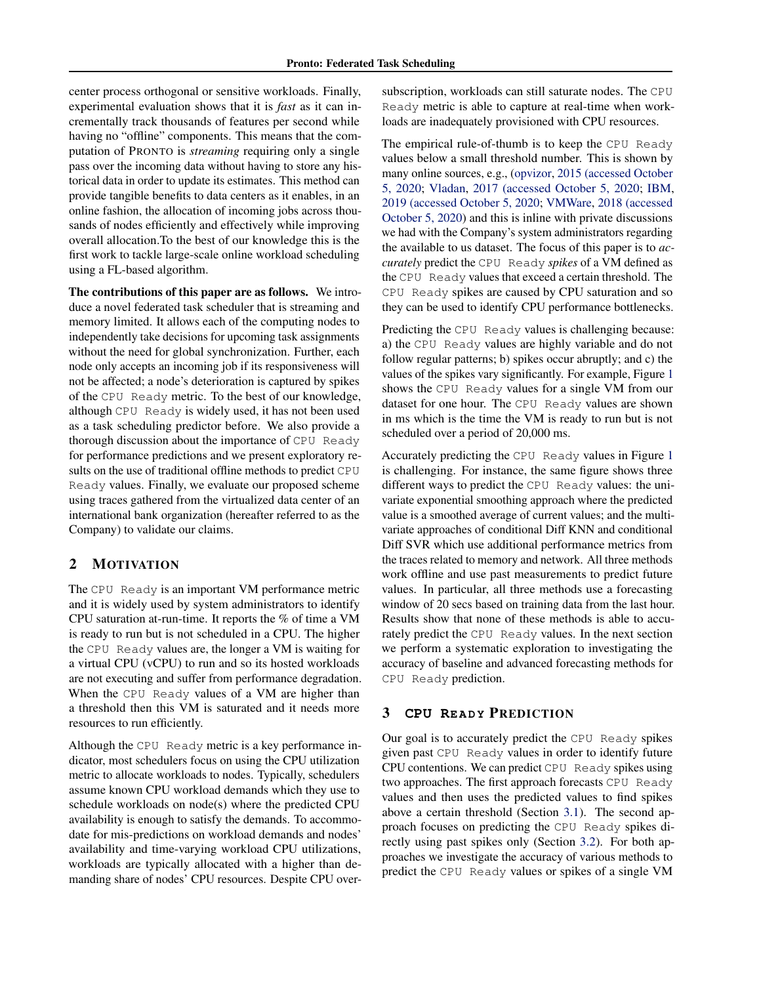center process orthogonal or sensitive workloads. Finally, experimental evaluation shows that it is *fast* as it can incrementally track thousands of features per second while having no "offline" components. This means that the computation of PRONTO is *streaming* requiring only a single pass over the incoming data without having to store any historical data in order to update its estimates. This method can provide tangible benefits to data centers as it enables, in an online fashion, the allocation of incoming jobs across thousands of nodes efficiently and effectively while improving overall allocation.To the best of our knowledge this is the first work to tackle large-scale online workload scheduling using a FL-based algorithm.

The contributions of this paper are as follows. We introduce a novel federated task scheduler that is streaming and memory limited. It allows each of the computing nodes to independently take decisions for upcoming task assignments without the need for global synchronization. Further, each node only accepts an incoming job if its responsiveness will not be affected; a node's deterioration is captured by spikes of the CPU Ready metric. To the best of our knowledge, although CPU Ready is widely used, it has not been used as a task scheduling predictor before. We also provide a thorough discussion about the importance of CPU Ready for performance predictions and we present exploratory results on the use of traditional offline methods to predict CPU Ready values. Finally, we evaluate our proposed scheme using traces gathered from the virtualized data center of an international bank organization (hereafter referred to as the Company) to validate our claims.

## 2 MOTIVATION

The CPU Ready is an important VM performance metric and it is widely used by system administrators to identify CPU saturation at-run-time. It reports the % of time a VM is ready to run but is not scheduled in a CPU. The higher the CPU Ready values are, the longer a VM is waiting for a virtual CPU (vCPU) to run and so its hosted workloads are not executing and suffer from performance degradation. When the CPU Ready values of a VM are higher than a threshold then this VM is saturated and it needs more resources to run efficiently.

Although the CPU Ready metric is a key performance indicator, most schedulers focus on using the CPU utilization metric to allocate workloads to nodes. Typically, schedulers assume known CPU workload demands which they use to schedule workloads on node(s) where the predicted CPU availability is enough to satisfy the demands. To accommodate for mis-predictions on workload demands and nodes' availability and time-varying workload CPU utilizations, workloads are typically allocated with a higher than demanding share of nodes' CPU resources. Despite CPU oversubscription, workloads can still saturate nodes. The CPU Ready metric is able to capture at real-time when workloads are inadequately provisioned with CPU resources.

The empirical rule-of-thumb is to keep the CPU Ready values below a small threshold number. This is shown by many online sources, e.g., [\(opvizor,](#page-15-0) [2015 \(accessed October](#page-15-0) [5, 2020;](#page-15-0) [Vladan,](#page-15-0) [2017 \(accessed October 5, 2020;](#page-15-0) [IBM,](#page-14-0) [2019 \(accessed October 5, 2020;](#page-14-0) [VMWare,](#page-15-0) [2018 \(accessed](#page-15-0) [October 5, 2020\)](#page-15-0) and this is inline with private discussions we had with the Company's system administrators regarding the available to us dataset. The focus of this paper is to *accurately* predict the CPU Ready *spikes* of a VM defined as the CPU Ready values that exceed a certain threshold. The CPU Ready spikes are caused by CPU saturation and so they can be used to identify CPU performance bottlenecks.

Predicting the CPU Ready values is challenging because: a) the CPU Ready values are highly variable and do not follow regular patterns; b) spikes occur abruptly; and c) the values of the spikes vary significantly. For example, Figure [1](#page-3-0) shows the CPU Ready values for a single VM from our dataset for one hour. The CPU Ready values are shown in ms which is the time the VM is ready to run but is not scheduled over a period of 20,000 ms.

Accurately predicting the CPU Ready values in Figure [1](#page-3-0) is challenging. For instance, the same figure shows three different ways to predict the CPU Ready values: the univariate exponential smoothing approach where the predicted value is a smoothed average of current values; and the multivariate approaches of conditional Diff KNN and conditional Diff SVR which use additional performance metrics from the traces related to memory and network. All three methods work offline and use past measurements to predict future values. In particular, all three methods use a forecasting window of 20 secs based on training data from the last hour. Results show that none of these methods is able to accurately predict the CPU Ready values. In the next section we perform a systematic exploration to investigating the accuracy of baseline and advanced forecasting methods for CPU Ready prediction.

# **3 CPU READY PREDICTION**

Our goal is to accurately predict the CPU Ready spikes given past CPU Ready values in order to identify future CPU contentions. We can predict CPU Ready spikes using two approaches. The first approach forecasts CPU Ready values and then uses the predicted values to find spikes above a certain threshold (Section [3.1\)](#page-3-0). The second approach focuses on predicting the CPU Ready spikes directly using past spikes only (Section [3.2\)](#page-4-0). For both approaches we investigate the accuracy of various methods to predict the CPU Ready values or spikes of a single VM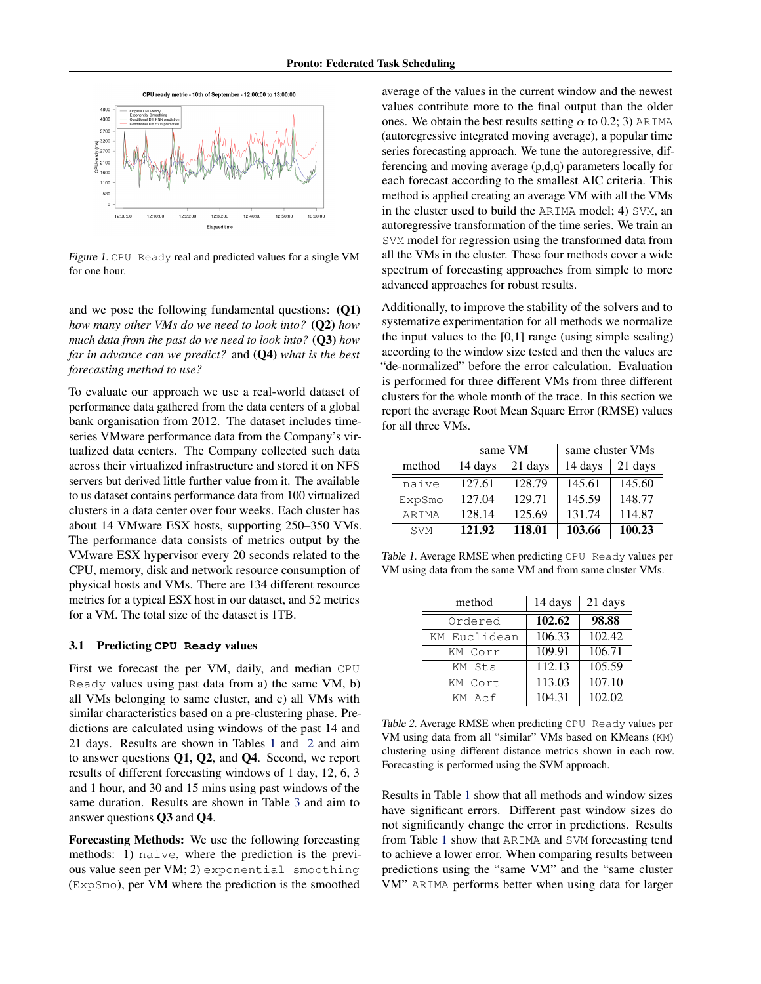<span id="page-3-0"></span>

Figure 1. CPU Ready real and predicted values for a single VM for one hour.

and we pose the following fundamental questions: (Q1) *how many other VMs do we need to look into?* (Q2) *how much data from the past do we need to look into?* (Q3) *how far in advance can we predict?* and (Q4) *what is the best forecasting method to use?*

To evaluate our approach we use a real-world dataset of performance data gathered from the data centers of a global bank organisation from 2012. The dataset includes timeseries VMware performance data from the Company's virtualized data centers. The Company collected such data across their virtualized infrastructure and stored it on NFS servers but derived little further value from it. The available to us dataset contains performance data from 100 virtualized clusters in a data center over four weeks. Each cluster has about 14 VMware ESX hosts, supporting 250–350 VMs. The performance data consists of metrics output by the VMware ESX hypervisor every 20 seconds related to the CPU, memory, disk and network resource consumption of physical hosts and VMs. There are 134 different resource metrics for a typical ESX host in our dataset, and 52 metrics for a VM. The total size of the dataset is 1TB.

#### 3.1 Predicting **CPU Ready** values

First we forecast the per VM, daily, and median CPU Ready values using past data from a) the same VM, b) all VMs belonging to same cluster, and c) all VMs with similar characteristics based on a pre-clustering phase. Predictions are calculated using windows of the past 14 and 21 days. Results are shown in Tables 1 and 2 and aim to answer questions Q1, Q2, and Q4. Second, we report results of different forecasting windows of 1 day, 12, 6, 3 and 1 hour, and 30 and 15 mins using past windows of the same duration. Results are shown in Table [3](#page-5-0) and aim to answer questions Q3 and Q4.

Forecasting Methods: We use the following forecasting methods: 1) naive, where the prediction is the previous value seen per VM; 2) exponential smoothing (ExpSmo), per VM where the prediction is the smoothed

average of the values in the current window and the newest values contribute more to the final output than the older ones. We obtain the best results setting  $\alpha$  to 0.2; 3) ARIMA (autoregressive integrated moving average), a popular time series forecasting approach. We tune the autoregressive, differencing and moving average (p,d,q) parameters locally for each forecast according to the smallest AIC criteria. This method is applied creating an average VM with all the VMs in the cluster used to build the ARIMA model; 4) SVM, an autoregressive transformation of the time series. We train an SVM model for regression using the transformed data from all the VMs in the cluster. These four methods cover a wide spectrum of forecasting approaches from simple to more advanced approaches for robust results.

Additionally, to improve the stability of the solvers and to systematize experimentation for all methods we normalize the input values to the  $[0,1]$  range (using simple scaling) according to the window size tested and then the values are "de-normalized" before the error calculation. Evaluation is performed for three different VMs from three different clusters for the whole month of the trace. In this section we report the average Root Mean Square Error (RMSE) values for all three VMs.

|            |         | same VM | same cluster VMs |         |
|------------|---------|---------|------------------|---------|
| method     | 14 days | 21 days | 14 days          | 21 days |
| naive      | 127.61  | 128.79  | 145.61           | 145.60  |
| ExpSmo     | 127.04  | 129.71  | 145.59           | 148.77  |
| ARIMA      | 128.14  | 125.69  | 131.74           | 114.87  |
| <b>SVM</b> | 121.92  | 118.01  | 103.66           | 100.23  |

Table 1. Average RMSE when predicting CPU Ready values per VM using data from the same VM and from same cluster VMs.

| method       | 14 days | 21 days             |
|--------------|---------|---------------------|
| Ordered      | 102.62  | 98.88               |
| KM Euclidean | 106.33  | 102.42              |
| KM Corr      | 109.91  | 106.71              |
| KM Sts       | 112.13  | $\overline{105.59}$ |
| KM Cort      | 113.03  | 107.10              |
| KM Acf       | 104.31  | 102.02              |

Table 2. Average RMSE when predicting CPU Ready values per VM using data from all "similar" VMs based on KMeans (KM) clustering using different distance metrics shown in each row. Forecasting is performed using the SVM approach.

Results in Table 1 show that all methods and window sizes have significant errors. Different past window sizes do not significantly change the error in predictions. Results from Table 1 show that ARIMA and SVM forecasting tend to achieve a lower error. When comparing results between predictions using the "same VM" and the "same cluster VM" ARIMA performs better when using data for larger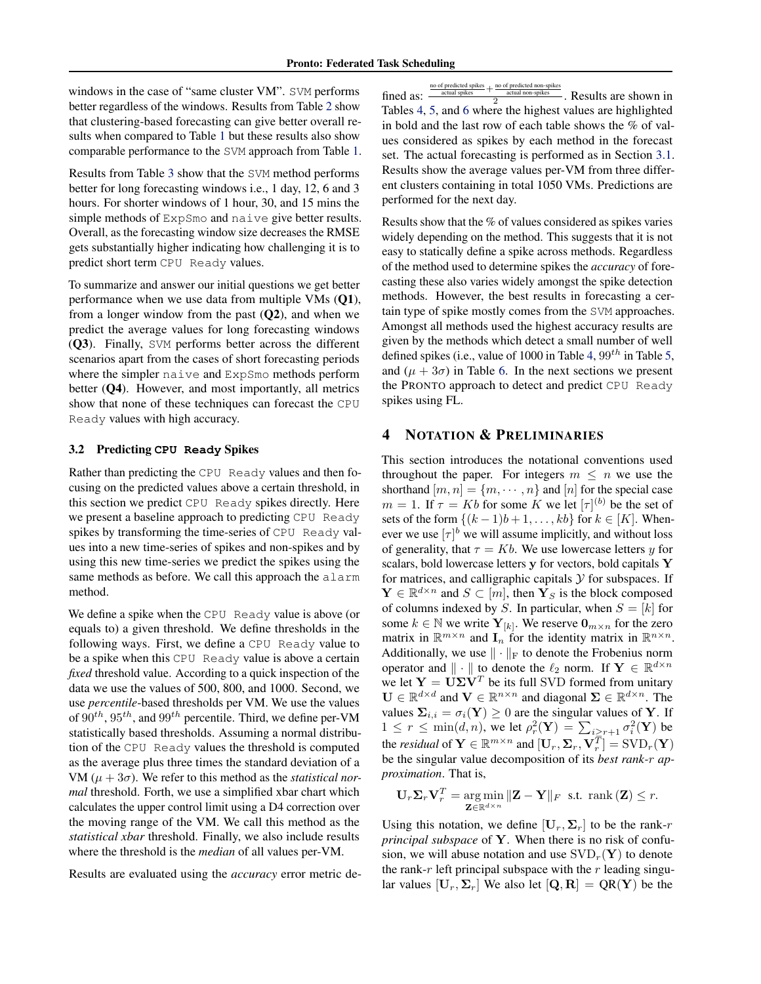<span id="page-4-0"></span>windows in the case of "same cluster VM". SVM performs better regardless of the windows. Results from Table [2](#page-3-0) show that clustering-based forecasting can give better overall results when compared to Table [1](#page-3-0) but these results also show comparable performance to the SVM approach from Table [1.](#page-3-0)

Results from Table [3](#page-5-0) show that the SVM method performs better for long forecasting windows i.e., 1 day, 12, 6 and 3 hours. For shorter windows of 1 hour, 30, and 15 mins the simple methods of ExpSmo and naive give better results. Overall, as the forecasting window size decreases the RMSE gets substantially higher indicating how challenging it is to predict short term CPU Ready values.

To summarize and answer our initial questions we get better performance when we use data from multiple VMs (Q1), from a longer window from the past  $(Q2)$ , and when we predict the average values for long forecasting windows (Q3). Finally, SVM performs better across the different scenarios apart from the cases of short forecasting periods where the simpler naive and ExpSmo methods perform better (Q4). However, and most importantly, all metrics show that none of these techniques can forecast the CPU Ready values with high accuracy.

### 3.2 Predicting **CPU Ready** Spikes

Rather than predicting the CPU Ready values and then focusing on the predicted values above a certain threshold, in this section we predict CPU Ready spikes directly. Here we present a baseline approach to predicting CPU Ready spikes by transforming the time-series of CPU Ready values into a new time-series of spikes and non-spikes and by using this new time-series we predict the spikes using the same methods as before. We call this approach the alarm method.

We define a spike when the CPU Ready value is above (or equals to) a given threshold. We define thresholds in the following ways. First, we define a CPU Ready value to be a spike when this CPU Ready value is above a certain *fixed* threshold value. According to a quick inspection of the data we use the values of 500, 800, and 1000. Second, we use *percentile*-based thresholds per VM. We use the values of  $90^{th}$ ,  $95^{th}$ , and  $99^{th}$  percentile. Third, we define per-VM statistically based thresholds. Assuming a normal distribution of the CPU Ready values the threshold is computed as the average plus three times the standard deviation of a VM  $(\mu + 3\sigma)$ . We refer to this method as the *statistical normal* threshold. Forth, we use a simplified xbar chart which calculates the upper control limit using a D4 correction over the moving range of the VM. We call this method as the *statistical xbar* threshold. Finally, we also include results where the threshold is the *median* of all values per-VM.

Results are evaluated using the *accuracy* error metric de-

| no of predicted spikes | no of predicted non-spikes |
|------------------------|----------------------------|
| ومحافظته المعتقدين     | and and an annual          |

fined as:  $\frac{\frac{100 \text{ of predicted spheres}}{\text{actual splies}} +$ no of predicted non-spikes<br>
2. Results are shown in Tables [4,](#page-5-0) [5,](#page-5-0) and [6](#page-5-0) where the highest values are highlighted in bold and the last row of each table shows the % of values considered as spikes by each method in the forecast set. The actual forecasting is performed as in Section [3.1.](#page-3-0) Results show the average values per-VM from three different clusters containing in total 1050 VMs. Predictions are performed for the next day.

Results show that the % of values considered as spikes varies widely depending on the method. This suggests that it is not easy to statically define a spike across methods. Regardless of the method used to determine spikes the *accuracy* of forecasting these also varies widely amongst the spike detection methods. However, the best results in forecasting a certain type of spike mostly comes from the SVM approaches. Amongst all methods used the highest accuracy results are given by the methods which detect a small number of well defined spikes (i.e., value of 1000 in Table [4,](#page-5-0)  $99^{th}$  in Table [5,](#page-5-0) and  $(\mu + 3\sigma)$  in Table [6.](#page-5-0) In the next sections we present the PRONTO approach to detect and predict CPU Ready spikes using FL.

## 4 NOTATION & PRELIMINARIES

This section introduces the notational conventions used throughout the paper. For integers  $m \leq n$  we use the shorthand  $[m, n] = \{m, \dots, n\}$  and  $[n]$  for the special case  $m = 1$ . If  $\tau = Kb$  for some K we let  $[\tau]^{(b)}$  be the set of sets of the form  $\{(k-1)b+1,\ldots, kb\}$  for  $k \in [K]$ . Whenever we use  $[\tau]^{b}$  we will assume implicitly, and without loss of generality, that  $\tau = Kb$ . We use lowercase letters y for scalars, bold lowercase letters y for vectors, bold capitals Y for matrices, and calligraphic capitals  $Y$  for subspaces. If  $\mathbf{Y} \in \mathbb{R}^{d \times n}$  and  $S \subset [m]$ , then  $\mathbf{Y}_S$  is the block composed of columns indexed by S. In particular, when  $S = [k]$  for some  $k \in \mathbb{N}$  we write  $\mathbf{Y}_{[k]}$ . We reserve  $\mathbf{0}_{m \times n}$  for the zero matrix in  $\mathbb{R}^{m \times n}$  and  $\mathbf{I}_n$  for the identity matrix in  $\mathbb{R}^{n \times n}$ . Additionally, we use  $\|\cdot\|_F$  to denote the Frobenius norm operator and  $\|\cdot\|$  to denote the  $\ell_2$  norm. If  $\mathbf{Y} \in \mathbb{R}^{d \times n}$ we let  $Y = U\Sigma V^T$  be its full SVD formed from unitary  $\mathbf{U} \in \mathbb{R}^{d \times d}$  and  $\mathbf{V} \in \mathbb{R}^{n \times n}$  and diagonal  $\mathbf{\Sigma} \in \mathbb{R}^{d \times n}$ . The values  $\Sigma_{i,i} = \sigma_i(\mathbf{Y}) \geq 0$  are the singular values of Y. If  $1 \leq r \leq \min(d, n)$ , we let  $\rho_r^2(\mathbf{Y}) = \sum_{i \geq r+1} \sigma_i^2(\mathbf{Y})$  be the *residual* of  $\mathbf{Y} \in \mathbb{R}^{m \times n}$  and  $[\mathbf{U}_r, \mathbf{\Sigma}_r, \mathbf{V}_r^{\overline{T}}] = \text{SVD}_r(\mathbf{Y})$ be the singular value decomposition of its *best rank-*r *approximation*. That is,

$$
\mathbf{U}_{r}\mathbf{\Sigma}_{r}\mathbf{V}_{r}^{T} = \underset{\mathbf{Z} \in \mathbb{R}^{d \times n}}{\arg\min} \|\mathbf{Z} - \mathbf{Y}\|_{F} \text{ s.t. } \text{rank}(\mathbf{Z}) \leq r.
$$

Using this notation, we define  $[\mathbf{U}_r, \boldsymbol{\Sigma}_r]$  to be the rank-r *principal subspace* of Y. When there is no risk of confusion, we will abuse notation and use  $SVD_r(Y)$  to denote the rank-r left principal subspace with the r leading singular values  $[\mathbf{U}_r, \Sigma_r]$  We also let  $[\mathbf{Q}, \mathbf{R}] = \mathbf{QR}(\mathbf{Y})$  be the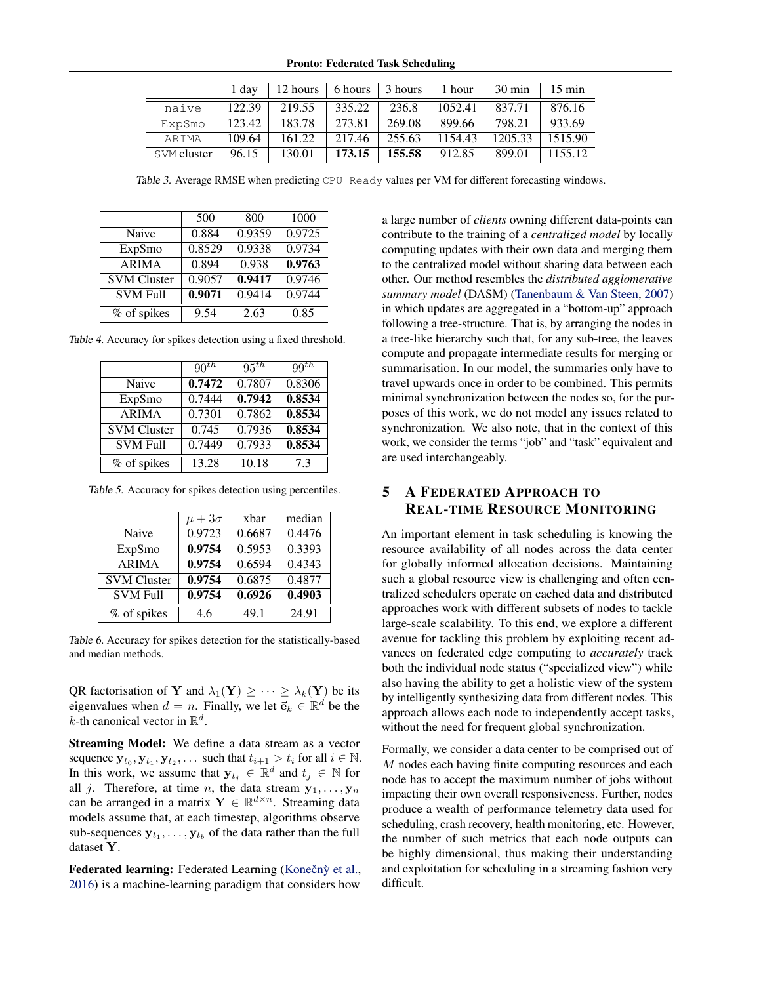Pronto: Federated Task Scheduling

<span id="page-5-0"></span>

|             | 1 dav  | 12 hours   6 hours   3 hours   1 hour |                   |        |         | $30 \text{ min}$ | $15 \text{ min}$ |
|-------------|--------|---------------------------------------|-------------------|--------|---------|------------------|------------------|
| naive       | 122.39 | 219.55                                | 335.22            | 236.8  | 1052.41 | 837.71           | 876.16           |
| ExpSmo      | 123.42 | 183.78                                | 273.81            | 269.08 | 899.66  | 798.21           | 933.69           |
| ARTMA       | 109.64 | 161.22                                | 217.46            | 255.63 | 1154.43 | 1205.33          | 1515.90          |
| SVM cluster | 96.15  | 130.01                                | $173.15$   155.58 |        | 912.85  | 899.01           | 1155.12          |

Table 3. Average RMSE when predicting CPU Ready values per VM for different forecasting windows.

|                    | 500    | 800    | 1000   |
|--------------------|--------|--------|--------|
| Naive              | 0.884  | 0.9359 | 0.9725 |
| ExpSmo             | 0.8529 | 0.9338 | 0.9734 |
| <b>ARIMA</b>       | 0.894  | 0.938  | 0.9763 |
| <b>SVM Cluster</b> | 0.9057 | 0.9417 | 0.9746 |
| <b>SVM Full</b>    | 0.9071 | 0.9414 | 0.9744 |
| % of spikes        | 9.54   | 2.63   | 0.85   |

Table 4. Accuracy for spikes detection using a fixed threshold.

|                    | $90^{th}$ | 95 <sup>th</sup> | $99^{th}$ |
|--------------------|-----------|------------------|-----------|
| Naive              | 0.7472    | 0.7807           | 0.8306    |
| ExpSmo             | 0.7444    | 0.7942           | 0.8534    |
| <b>ARIMA</b>       | 0.7301    | 0.7862           | 0.8534    |
| <b>SVM Cluster</b> | 0.745     | 0.7936           | 0.8534    |
| <b>SVM Full</b>    | 0.7449    | 0.7933           | 0.8534    |
| % of spikes        | 13.28     | 10.18            | 7.3       |

Table 5. Accuracy for spikes detection using percentiles.

|                    | $\mu + 3\sigma$ | xbar   | median |
|--------------------|-----------------|--------|--------|
| Naive              | 0.9723          | 0.6687 | 0.4476 |
| ExpSmo             | 0.9754          | 0.5953 | 0.3393 |
| <b>ARIMA</b>       | 0.9754          | 0.6594 | 0.4343 |
| <b>SVM Cluster</b> | 0.9754          | 0.6875 | 0.4877 |
| <b>SVM Full</b>    | 0.9754          | 0.6926 | 0.4903 |
| % of spikes        | 4.6             | 49.1   | 24.91  |

Table 6. Accuracy for spikes detection for the statistically-based and median methods.

QR factorisation of Y and  $\lambda_1(Y) \geq \cdots \geq \lambda_k(Y)$  be its eigenvalues when  $d = n$ . Finally, we let  $\vec{e}_k \in \mathbb{R}^d$  be the *k*-th canonical vector in  $\mathbb{R}^d$ .

Streaming Model: We define a data stream as a vector sequence  $\mathbf{y}_{t_0}, \mathbf{y}_{t_1}, \mathbf{y}_{t_2}, \dots$  such that  $t_{i+1} > t_i$  for all  $i \in \mathbb{N}$ . In this work, we assume that  $y_{t_j} \in \mathbb{R}^d$  and  $t_j \in \mathbb{N}$  for all j. Therefore, at time n, the data stream  $y_1, \ldots, y_n$ can be arranged in a matrix  $\mathbf{Y} \in \mathbb{R}^{d \times n}$ . Streaming data models assume that, at each timestep, algorithms observe sub-sequences  $y_{t_1}, \ldots, y_{t_b}$  of the data rather than the full dataset Y.

Federated learning: Federated Learning (Konečnỳ et al., [2016\)](#page-14-0) is a machine-learning paradigm that considers how

a large number of *clients* owning different data-points can contribute to the training of a *centralized model* by locally computing updates with their own data and merging them to the centralized model without sharing data between each other. Our method resembles the *distributed agglomerative summary model* (DASM) [\(Tanenbaum & Van Steen,](#page-15-0) [2007\)](#page-15-0) in which updates are aggregated in a "bottom-up" approach following a tree-structure. That is, by arranging the nodes in a tree-like hierarchy such that, for any sub-tree, the leaves compute and propagate intermediate results for merging or summarisation. In our model, the summaries only have to travel upwards once in order to be combined. This permits minimal synchronization between the nodes so, for the purposes of this work, we do not model any issues related to synchronization. We also note, that in the context of this work, we consider the terms "job" and "task" equivalent and are used interchangeably.

# 5 A FEDERATED APPROACH TO REAL-TIME RESOURCE MONITORING

An important element in task scheduling is knowing the resource availability of all nodes across the data center for globally informed allocation decisions. Maintaining such a global resource view is challenging and often centralized schedulers operate on cached data and distributed approaches work with different subsets of nodes to tackle large-scale scalability. To this end, we explore a different avenue for tackling this problem by exploiting recent advances on federated edge computing to *accurately* track both the individual node status ("specialized view") while also having the ability to get a holistic view of the system by intelligently synthesizing data from different nodes. This approach allows each node to independently accept tasks, without the need for frequent global synchronization.

Formally, we consider a data center to be comprised out of M nodes each having finite computing resources and each node has to accept the maximum number of jobs without impacting their own overall responsiveness. Further, nodes produce a wealth of performance telemetry data used for scheduling, crash recovery, health monitoring, etc. However, the number of such metrics that each node outputs can be highly dimensional, thus making their understanding and exploitation for scheduling in a streaming fashion very difficult.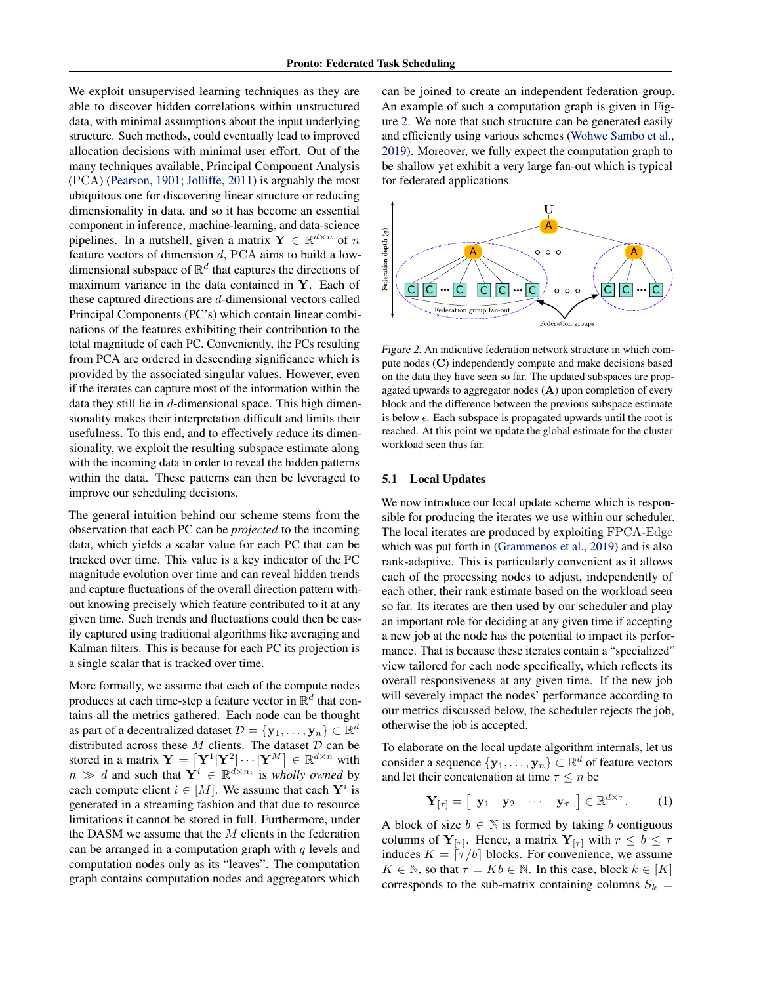<span id="page-6-0"></span>We exploit unsupervised learning techniques as they are able to discover hidden correlations within unstructured data, with minimal assumptions about the input underlying structure. Such methods, could eventually lead to improved allocation decisions with minimal user effort. Out of the many techniques available, Principal Component Analysis (PCA) [\(Pearson,](#page-15-0) [1901;](#page-15-0) [Jolliffe,](#page-14-0) [2011\)](#page-14-0) is arguably the most ubiquitous one for discovering linear structure or reducing dimensionality in data, and so it has become an essential component in inference, machine-learning, and data-science pipelines. In a nutshell, given a matrix  $\mathbf{Y} \in \mathbb{R}^{d \times n}$  of n feature vectors of dimension d, PCA aims to build a lowdimensional subspace of  $\mathbb{R}^d$  that captures the directions of maximum variance in the data contained in Y. Each of these captured directions are d-dimensional vectors called Principal Components (PC's) which contain linear combinations of the features exhibiting their contribution to the total magnitude of each PC. Conveniently, the PCs resulting from PCA are ordered in descending significance which is provided by the associated singular values. However, even if the iterates can capture most of the information within the data they still lie in  $d$ -dimensional space. This high dimensionality makes their interpretation difficult and limits their usefulness. To this end, and to effectively reduce its dimensionality, we exploit the resulting subspace estimate along with the incoming data in order to reveal the hidden patterns within the data. These patterns can then be leveraged to improve our scheduling decisions.

The general intuition behind our scheme stems from the observation that each PC can be *projected* to the incoming data, which yields a scalar value for each PC that can be tracked over time. This value is a key indicator of the PC magnitude evolution over time and can reveal hidden trends and capture fluctuations of the overall direction pattern without knowing precisely which feature contributed to it at any given time. Such trends and fluctuations could then be easily captured using traditional algorithms like averaging and Kalman filters. This is because for each PC its projection is a single scalar that is tracked over time.

More formally, we assume that each of the compute nodes produces at each time-step a feature vector in  $\mathbb{R}^d$  that contains all the metrics gathered. Each node can be thought as part of a decentralized dataset  $\mathcal{D} = \{\mathbf{y}_1, \dots, \mathbf{y}_n\} \subset \mathbb{R}^d$ distributed across these  $M$  clients. The dataset  $D$  can be stored in a matrix  $\mathbf{Y} = [\mathbf{Y}^1 | \mathbf{Y}^2 | \cdots | \mathbf{Y}^M] \in \mathbb{R}^{d \times n}$  with  $n \gg d$  and such that  $Y^i \in \mathbb{R}^{d \times n_i}$  is *wholly owned* by each compute client  $i \in [M]$ . We assume that each  $Y^i$  is generated in a streaming fashion and that due to resource limitations it cannot be stored in full. Furthermore, under the DASM we assume that the  $M$  clients in the federation can be arranged in a computation graph with  $q$  levels and computation nodes only as its "leaves". The computation graph contains computation nodes and aggregators which

can be joined to create an independent federation group. An example of such a computation graph is given in Figure 2. We note that such structure can be generated easily and efficiently using various schemes [\(Wohwe Sambo et al.,](#page-16-0) [2019\)](#page-16-0). Moreover, we fully expect the computation graph to be shallow yet exhibit a very large fan-out which is typical for federated applications.



Figure 2. An indicative federation network structure in which compute nodes (C) independently compute and make decisions based on the data they have seen so far. The updated subspaces are propagated upwards to aggregator nodes (A) upon completion of every block and the difference between the previous subspace estimate is below  $\epsilon$ . Each subspace is propagated upwards until the root is reached. At this point we update the global estimate for the cluster workload seen thus far.

#### 5.1 Local Updates

We now introduce our local update scheme which is responsible for producing the iterates we use within our scheduler. The local iterates are produced by exploiting FPCA-Edge which was put forth in [\(Grammenos et al.,](#page-14-0) [2019\)](#page-14-0) and is also rank-adaptive. This is particularly convenient as it allows each of the processing nodes to adjust, independently of each other, their rank estimate based on the workload seen so far. Its iterates are then used by our scheduler and play an important role for deciding at any given time if accepting a new job at the node has the potential to impact its performance. That is because these iterates contain a "specialized" view tailored for each node specifically, which reflects its overall responsiveness at any given time. If the new job will severely impact the nodes' performance according to our metrics discussed below, the scheduler rejects the job, otherwise the job is accepted.

To elaborate on the local update algorithm internals, let us consider a sequence  $\{y_1, \ldots, y_n\} \subset \mathbb{R}^d$  of feature vectors and let their concatenation at time  $\tau \leq n$  be

$$
\mathbf{Y}_{[\tau]} = [\mathbf{y}_1 \quad \mathbf{y}_2 \quad \cdots \quad \mathbf{y}_{\tau}] \in \mathbb{R}^{d \times \tau}.
$$
 (1)

A block of size  $b \in \mathbb{N}$  is formed by taking b contiguous columns of  $Y_{[\tau]}$ . Hence, a matrix  $Y_{[\tau]}$  with  $r \leq b \leq \tau$ induces  $K = \lfloor \tau / b \rfloor$  blocks. For convenience, we assume  $K \in \mathbb{N}$ , so that  $\tau = Kb \in \mathbb{N}$ . In this case, block  $k \in [K]$ corresponds to the sub-matrix containing columns  $S_k$  =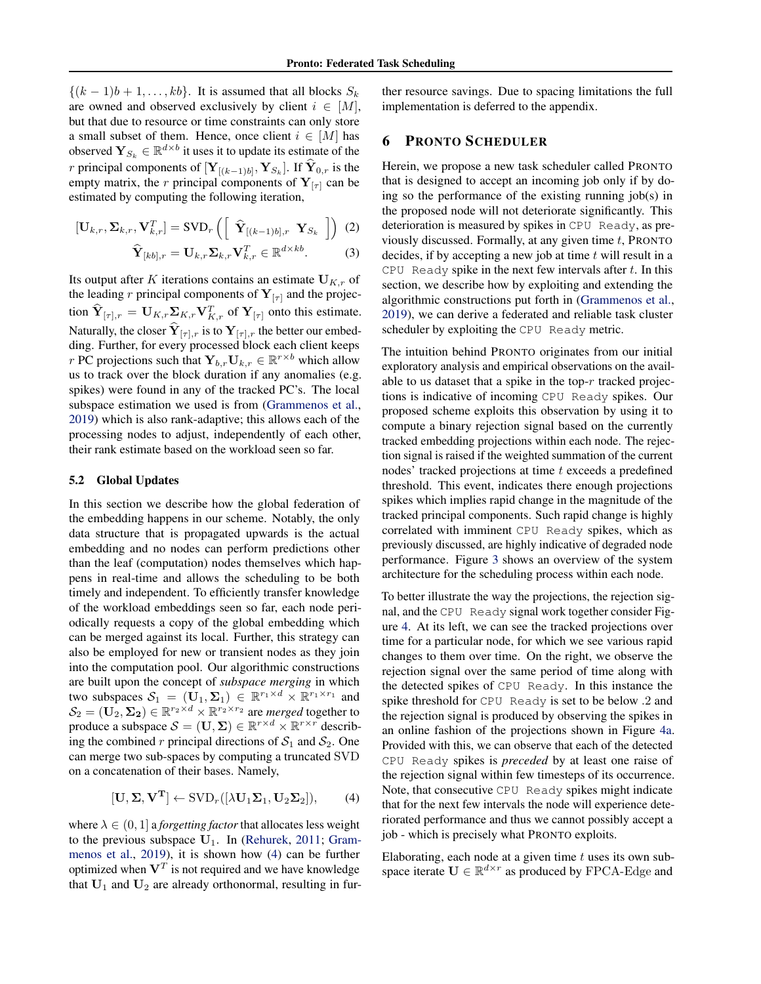$\{(k-1)b+1,\ldots, kb\}$ . It is assumed that all blocks  $S_k$ are owned and observed exclusively by client  $i \in [M]$ , but that due to resource or time constraints can only store a small subset of them. Hence, once client  $i \in [M]$  has observed  $\mathbf{Y}_{S_k} \in \mathbb{R}^{d \times b}$  it uses it to update its estimate of the *r* principal components of  $[Y_{[(k-1)b]}, Y_{S_k}]$ . If  $Y_{0,r}$  is the empty matrix, the r principal components of  $Y_{[\tau]}$  can be estimated by computing the following iteration,

$$
[\mathbf{U}_{k,r}, \mathbf{\Sigma}_{k,r}, \mathbf{V}_{k,r}^T] = \text{SVD}_r \left( \begin{bmatrix} \widehat{\mathbf{Y}}_{[(k-1)b],r} & \mathbf{Y}_{S_k} \end{bmatrix} \right) (2)
$$

$$
\widehat{\mathbf{Y}}_{[kb],r} = \mathbf{U}_{k,r} \mathbf{\Sigma}_{k,r} \mathbf{V}_{k,r}^T \in \mathbb{R}^{d \times kb}.
$$
 (3)

Its output after K iterations contains an estimate  $U_{K,r}$  of the leading r principal components of  $Y_{[\tau]}$  and the projection  $\widehat{\mathbf{Y}}_{[\tau],r} = \mathbf{U}_{K,r} \sum_{K,r} \mathbf{V}_{K,r}^T$  of  $\mathbf{Y}_{[\tau]}$  onto this estimate. Naturally, the closer  $Y_{[\tau],r}$  is to  $Y_{[\tau],r}$  the better our embedding. Further, for every processed block each client keeps r PC projections such that  $\mathbf{Y}_{b,r} \mathbf{U}_{k,r} \in \mathbb{R}^{r \times b}$  which allow us to track over the block duration if any anomalies (e.g. spikes) were found in any of the tracked PC's. The local subspace estimation we used is from [\(Grammenos et al.,](#page-14-0) [2019\)](#page-14-0) which is also rank-adaptive; this allows each of the processing nodes to adjust, independently of each other, their rank estimate based on the workload seen so far.

#### 5.2 Global Updates

In this section we describe how the global federation of the embedding happens in our scheme. Notably, the only data structure that is propagated upwards is the actual embedding and no nodes can perform predictions other than the leaf (computation) nodes themselves which happens in real-time and allows the scheduling to be both timely and independent. To efficiently transfer knowledge of the workload embeddings seen so far, each node periodically requests a copy of the global embedding which can be merged against its local. Further, this strategy can also be employed for new or transient nodes as they join into the computation pool. Our algorithmic constructions are built upon the concept of *subspace merging* in which two subspaces  $S_1 = (\mathbf{U}_1, \Sigma_1) \in \mathbb{R}^{r_1 \times d} \times \mathbb{R}^{r_1 \times r_1}$  and  $\mathcal{S}_2 = (\mathbf{U}_2, \mathbf{\Sigma_2}) \in \mathbb{R}^{r_2 \times d} \times \mathbb{R}^{r_2 \times r_2}$  are *merged* together to produce a subspace  $S = (\mathbf{U}, \boldsymbol{\Sigma}) \in \mathbb{R}^{r \times d} \times \mathbb{R}^{r \times r}$  describing the combined r principal directions of  $S_1$  and  $S_2$ . One can merge two sub-spaces by computing a truncated SVD on a concatenation of their bases. Namely,

$$
[\mathbf{U}, \Sigma, \mathbf{V}^{\mathbf{T}}] \leftarrow \mathrm{SVD}_r([\lambda \mathbf{U}_1 \Sigma_1, \mathbf{U}_2 \Sigma_2]), \quad (4)
$$

where  $\lambda \in (0, 1]$  a *forgetting factor* that allocates less weight to the previous subspace  $U_1$ . In [\(Rehurek,](#page-15-0) [2011;](#page-15-0) [Gram](#page-14-0)[menos et al.,](#page-14-0) [2019\)](#page-14-0), it is shown how (4) can be further optimized when  $V^T$  is not required and we have knowledge that  $U_1$  and  $U_2$  are already orthonormal, resulting in fur-

ther resource savings. Due to spacing limitations the full implementation is deferred to the appendix.

## 6 PRONTO SCHEDULER

Herein, we propose a new task scheduler called PRONTO that is designed to accept an incoming job only if by doing so the performance of the existing running job(s) in the proposed node will not deteriorate significantly. This deterioration is measured by spikes in CPU Ready, as previously discussed. Formally, at any given time  $t$ , PRONTO decides, if by accepting a new job at time  $t$  will result in a CPU Ready spike in the next few intervals after  $t$ . In this section, we describe how by exploiting and extending the algorithmic constructions put forth in [\(Grammenos et al.,](#page-14-0) [2019\)](#page-14-0), we can derive a federated and reliable task cluster scheduler by exploiting the CPU Ready metric.

The intuition behind PRONTO originates from our initial exploratory analysis and empirical observations on the available to us dataset that a spike in the top- $r$  tracked projections is indicative of incoming CPU Ready spikes. Our proposed scheme exploits this observation by using it to compute a binary rejection signal based on the currently tracked embedding projections within each node. The rejection signal is raised if the weighted summation of the current nodes' tracked projections at time t exceeds a predefined threshold. This event, indicates there enough projections spikes which implies rapid change in the magnitude of the tracked principal components. Such rapid change is highly correlated with imminent CPU Ready spikes, which as previously discussed, are highly indicative of degraded node performance. Figure [3](#page-8-0) shows an overview of the system architecture for the scheduling process within each node.

To better illustrate the way the projections, the rejection signal, and the CPU Ready signal work together consider Figure [4.](#page-8-0) At its left, we can see the tracked projections over time for a particular node, for which we see various rapid changes to them over time. On the right, we observe the rejection signal over the same period of time along with the detected spikes of CPU Ready. In this instance the spike threshold for CPU Ready is set to be below .2 and the rejection signal is produced by observing the spikes in an online fashion of the projections shown in Figure [4a.](#page-8-0) Provided with this, we can observe that each of the detected CPU Ready spikes is *preceded* by at least one raise of the rejection signal within few timesteps of its occurrence. Note, that consecutive CPU Ready spikes might indicate that for the next few intervals the node will experience deteriorated performance and thus we cannot possibly accept a job - which is precisely what PRONTO exploits.

Elaborating, each node at a given time  $t$  uses its own subspace iterate  $\mathbf{U} \in \mathbb{R}^{d \times r}$  as produced by FPCA-Edge and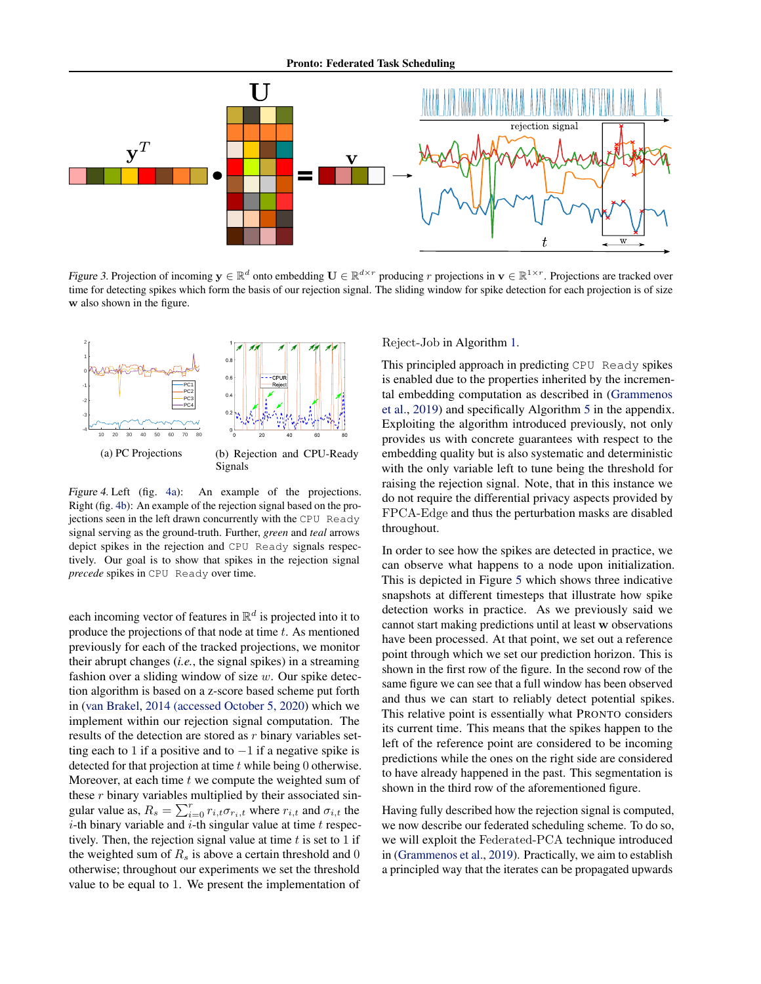<span id="page-8-0"></span>

Figure 3. Projection of incoming  $y \in \mathbb{R}^d$  onto embedding  $U \in \mathbb{R}^{d \times r}$  producing r projections in  $v \in \mathbb{R}^{1 \times r}$ . Projections are tracked over time for detecting spikes which form the basis of our rejection signal. The sliding window for spike detection for each projection is of size w also shown in the figure.



Figure 4. Left (fig. 4a): An example of the projections. Right (fig. 4b): An example of the rejection signal based on the projections seen in the left drawn concurrently with the CPU Ready signal serving as the ground-truth. Further, *green* and *teal* arrows depict spikes in the rejection and CPU Ready signals respectively. Our goal is to show that spikes in the rejection signal *precede* spikes in CPU Ready over time.

each incoming vector of features in  $\mathbb{R}^d$  is projected into it to produce the projections of that node at time  $t$ . As mentioned previously for each of the tracked projections, we monitor their abrupt changes (*i.e.*, the signal spikes) in a streaming fashion over a sliding window of size  $w$ . Our spike detection algorithm is based on a z-score based scheme put forth in [\(van Brakel,](#page-15-0) [2014 \(accessed October 5, 2020\)](#page-15-0) which we implement within our rejection signal computation. The results of the detection are stored as  $r$  binary variables setting each to 1 if a positive and to  $-1$  if a negative spike is detected for that projection at time  $t$  while being 0 otherwise. Moreover, at each time  $t$  we compute the weighted sum of these  $r$  binary variables multiplied by their associated singular value as,  $R_s = \sum_{i=0}^{r} r_{i,t} \sigma_{r_i,t}$  where  $r_{i,t}$  and  $\sigma_{i,t}$  the  $i$ -th binary variable and  $i$ -th singular value at time  $t$  respectively. Then, the rejection signal value at time  $t$  is set to 1 if the weighted sum of  $R_s$  is above a certain threshold and 0 otherwise; throughout our experiments we set the threshold value to be equal to 1. We present the implementation of Reject-Job in Algorithm [1.](#page-9-0)

This principled approach in predicting CPU Ready spikes is enabled due to the properties inherited by the incremental embedding computation as described in [\(Grammenos](#page-14-0) [et al.,](#page-14-0) [2019\)](#page-14-0) and specifically Algorithm [5](#page-18-0) in the appendix. Exploiting the algorithm introduced previously, not only provides us with concrete guarantees with respect to the embedding quality but is also systematic and deterministic with the only variable left to tune being the threshold for raising the rejection signal. Note, that in this instance we do not require the differential privacy aspects provided by FPCA-Edge and thus the perturbation masks are disabled throughout.

In order to see how the spikes are detected in practice, we can observe what happens to a node upon initialization. This is depicted in Figure [5](#page-9-0) which shows three indicative snapshots at different timesteps that illustrate how spike detection works in practice. As we previously said we cannot start making predictions until at least w observations have been processed. At that point, we set out a reference point through which we set our prediction horizon. This is shown in the first row of the figure. In the second row of the same figure we can see that a full window has been observed and thus we can start to reliably detect potential spikes. This relative point is essentially what PRONTO considers its current time. This means that the spikes happen to the left of the reference point are considered to be incoming predictions while the ones on the right side are considered to have already happened in the past. This segmentation is shown in the third row of the aforementioned figure.

Having fully described how the rejection signal is computed, we now describe our federated scheduling scheme. To do so, we will exploit the Federated-PCA technique introduced in [\(Grammenos et al.,](#page-14-0) [2019\)](#page-14-0). Practically, we aim to establish a principled way that the iterates can be propagated upwards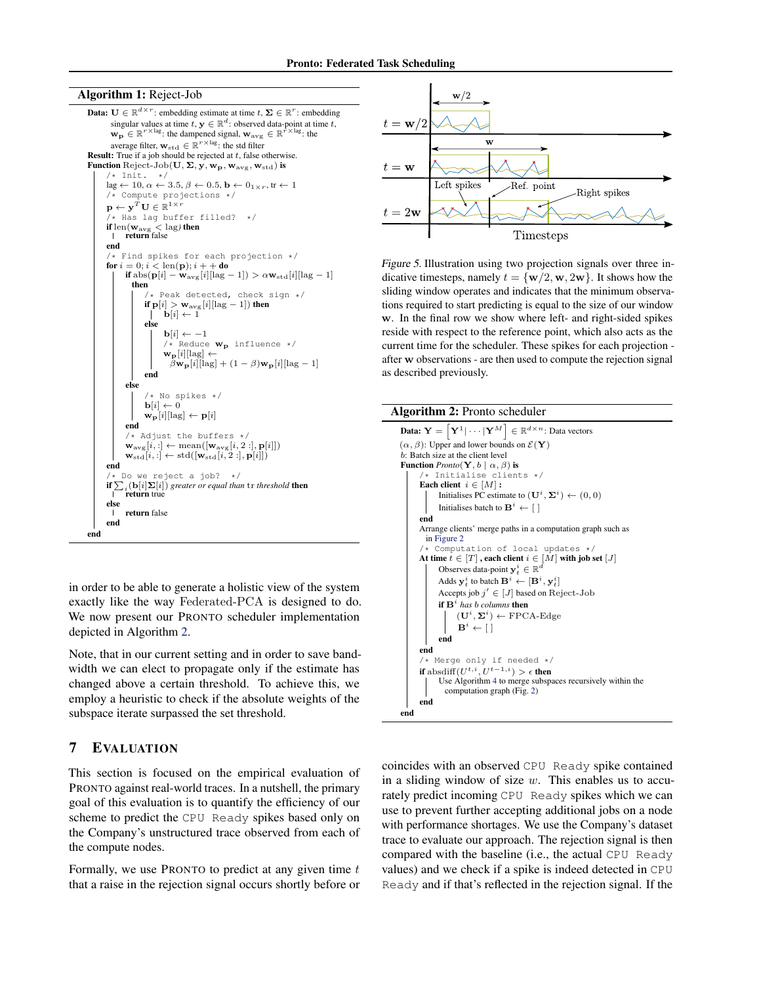#### <span id="page-9-0"></span>Algorithm 1: Reject-Job



in order to be able to generate a holistic view of the system exactly like the way Federated-PCA is designed to do. We now present our PRONTO scheduler implementation depicted in Algorithm 2.

Note, that in our current setting and in order to save bandwidth we can elect to propagate only if the estimate has changed above a certain threshold. To achieve this, we employ a heuristic to check if the absolute weights of the subspace iterate surpassed the set threshold.

# 7 EVALUATION

This section is focused on the empirical evaluation of PRONTO against real-world traces. In a nutshell, the primary goal of this evaluation is to quantify the efficiency of our scheme to predict the CPU Ready spikes based only on the Company's unstructured trace observed from each of the compute nodes.

Formally, we use PRONTO to predict at any given time  $t$ that a raise in the rejection signal occurs shortly before or



Figure 5. Illustration using two projection signals over three indicative timesteps, namely  $t = \{w/2, w, 2w\}$ . It shows how the sliding window operates and indicates that the minimum observations required to start predicting is equal to the size of our window w. In the final row we show where left- and right-sided spikes reside with respect to the reference point, which also acts as the current time for the scheduler. These spikes for each projection after w observations - are then used to compute the rejection signal as described previously.

## Algorithm 2: Pronto scheduler

```
Data: \mathbf{Y} = \left[ \mathbf{Y}^1 | \cdots | \mathbf{Y}^M \right] \in \mathbb{R}^{d \times n}: Data vectors
(\alpha, \beta): Upper and lower bounds on \mathcal{E}(\mathbf{Y})b: Batch size at the client level
Function Pronto(\mathbf{Y}, b \mid \alpha, \beta) is
            /* Initialise clients */
       Each client i \in [M]:
               Initialises PC estimate to (\mathbf{U}^i, \mathbf{\Sigma}^i) \leftarrow (0, 0)Initialises batch to \mathbf{B}^i \leftarrow \lceil \cdot \rceilend
       Arrange clients' merge paths in a computation graph such as
         in Figure 2
            Computation of local updates */At time t \in [T], each client i \in [M] with job set [J]<br> Observes data point x^i \in \mathbb{R}^dObserves data-point y_t^i \in \mathbb{R}Adds \mathbf{y}_t^i to batch \mathbf{B}^i \leftarrow [\mathbf{B}^i, \mathbf{y}_t^i]Accepts job j' \in [J] based on Reject-Job
               if \mathbf{B}^i has b columns then
                      (\mathbf{U}^i, \mathbf{\Sigma}^i) \leftarrow \text{FPCA-Edge}\mathbf{B}^i \leftarrow [ ]
              end
       end
       /* Merge only if needed */
        if \operatorname{absdiff}(U^{t,i},U^{t-1,i})>\epsilon then
              Use Algorithm 4 to merge subspaces recursively within the
                 computation graph (Fig. 2)
       end
end
```
coincides with an observed CPU Ready spike contained in a sliding window of size  $w$ . This enables us to accurately predict incoming CPU Ready spikes which we can use to prevent further accepting additional jobs on a node with performance shortages. We use the Company's dataset trace to evaluate our approach. The rejection signal is then compared with the baseline (i.e., the actual CPU Ready values) and we check if a spike is indeed detected in CPU Ready and if that's reflected in the rejection signal. If the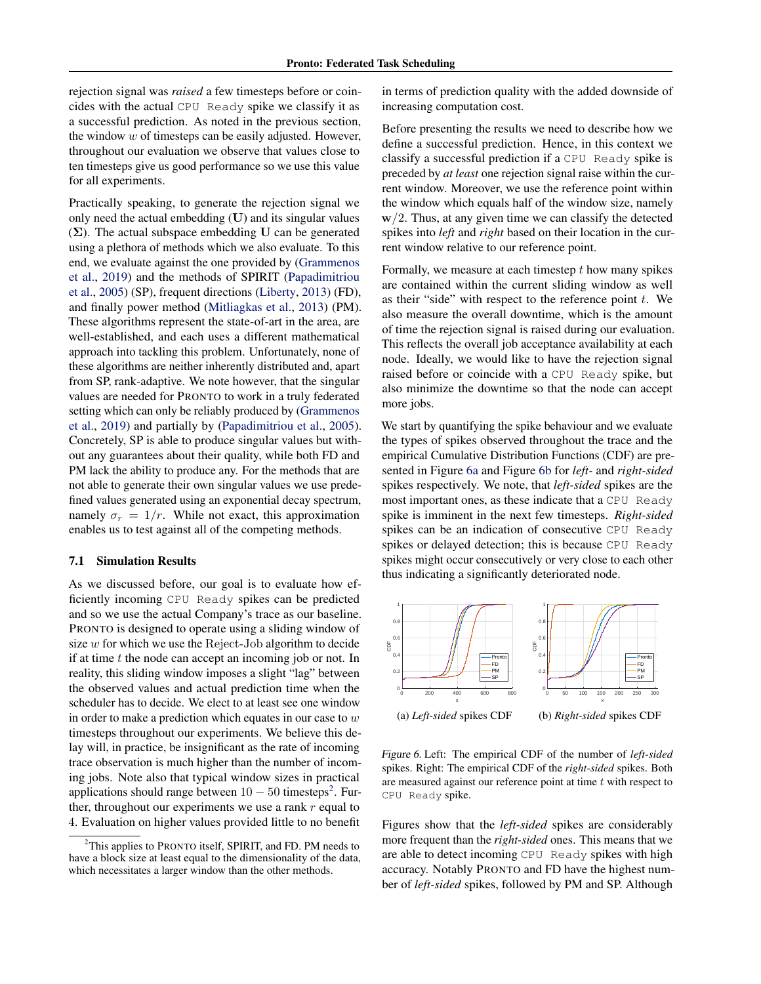rejection signal was *raised* a few timesteps before or coincides with the actual CPU Ready spike we classify it as a successful prediction. As noted in the previous section, the window  $w$  of timesteps can be easily adjusted. However, throughout our evaluation we observe that values close to ten timesteps give us good performance so we use this value for all experiments.

Practically speaking, to generate the rejection signal we only need the actual embedding (U) and its singular values  $(\Sigma)$ . The actual subspace embedding U can be generated using a plethora of methods which we also evaluate. To this end, we evaluate against the one provided by [\(Grammenos](#page-14-0) [et al.,](#page-14-0) [2019\)](#page-14-0) and the methods of SPIRIT [\(Papadimitriou](#page-15-0) [et al.,](#page-15-0) [2005\)](#page-15-0) (SP), frequent directions [\(Liberty,](#page-14-0) [2013\)](#page-14-0) (FD), and finally power method [\(Mitliagkas et al.,](#page-15-0) [2013\)](#page-15-0) (PM). These algorithms represent the state-of-art in the area, are well-established, and each uses a different mathematical approach into tackling this problem. Unfortunately, none of these algorithms are neither inherently distributed and, apart from SP, rank-adaptive. We note however, that the singular values are needed for PRONTO to work in a truly federated setting which can only be reliably produced by [\(Grammenos](#page-14-0) [et al.,](#page-14-0) [2019\)](#page-14-0) and partially by [\(Papadimitriou et al.,](#page-15-0) [2005\)](#page-15-0). Concretely, SP is able to produce singular values but without any guarantees about their quality, while both FD and PM lack the ability to produce any. For the methods that are not able to generate their own singular values we use predefined values generated using an exponential decay spectrum, namely  $\sigma_r = 1/r$ . While not exact, this approximation enables us to test against all of the competing methods.

#### 7.1 Simulation Results

As we discussed before, our goal is to evaluate how efficiently incoming CPU Ready spikes can be predicted and so we use the actual Company's trace as our baseline. PRONTO is designed to operate using a sliding window of size  $w$  for which we use the Reject-Job algorithm to decide if at time  $t$  the node can accept an incoming job or not. In reality, this sliding window imposes a slight "lag" between the observed values and actual prediction time when the scheduler has to decide. We elect to at least see one window in order to make a prediction which equates in our case to  $w$ timesteps throughout our experiments. We believe this delay will, in practice, be insignificant as the rate of incoming trace observation is much higher than the number of incoming jobs. Note also that typical window sizes in practical applications should range between  $10 - 50$  timesteps<sup>[2](#page-0-0)</sup>. Further, throughout our experiments we use a rank  $r$  equal to 4. Evaluation on higher values provided little to no benefit

in terms of prediction quality with the added downside of increasing computation cost.

Before presenting the results we need to describe how we define a successful prediction. Hence, in this context we classify a successful prediction if a CPU Ready spike is preceded by *at least* one rejection signal raise within the current window. Moreover, we use the reference point within the window which equals half of the window size, namely  $w/2$ . Thus, at any given time we can classify the detected spikes into *left* and *right* based on their location in the current window relative to our reference point.

Formally, we measure at each timestep  $t$  how many spikes are contained within the current sliding window as well as their "side" with respect to the reference point  $t$ . We also measure the overall downtime, which is the amount of time the rejection signal is raised during our evaluation. This reflects the overall job acceptance availability at each node. Ideally, we would like to have the rejection signal raised before or coincide with a CPU Ready spike, but also minimize the downtime so that the node can accept more jobs.

We start by quantifying the spike behaviour and we evaluate the types of spikes observed throughout the trace and the empirical Cumulative Distribution Functions (CDF) are presented in Figure 6a and Figure 6b for *left-* and *right-sided* spikes respectively. We note, that *left-sided* spikes are the most important ones, as these indicate that a CPU Ready spike is imminent in the next few timesteps. *Right-sided* spikes can be an indication of consecutive CPU Ready spikes or delayed detection; this is because CPU Ready spikes might occur consecutively or very close to each other thus indicating a significantly deteriorated node.



Figure 6. Left: The empirical CDF of the number of *left-sided* spikes. Right: The empirical CDF of the *right-sided* spikes. Both are measured against our reference point at time  $t$  with respect to CPU Ready spike.

Figures show that the *left-sided* spikes are considerably more frequent than the *right-sided* ones. This means that we are able to detect incoming CPU Ready spikes with high accuracy. Notably PRONTO and FD have the highest number of *left-sided* spikes, followed by PM and SP. Although

<sup>&</sup>lt;sup>2</sup>This applies to PRONTO itself, SPIRIT, and FD. PM needs to have a block size at least equal to the dimensionality of the data, which necessitates a larger window than the other methods.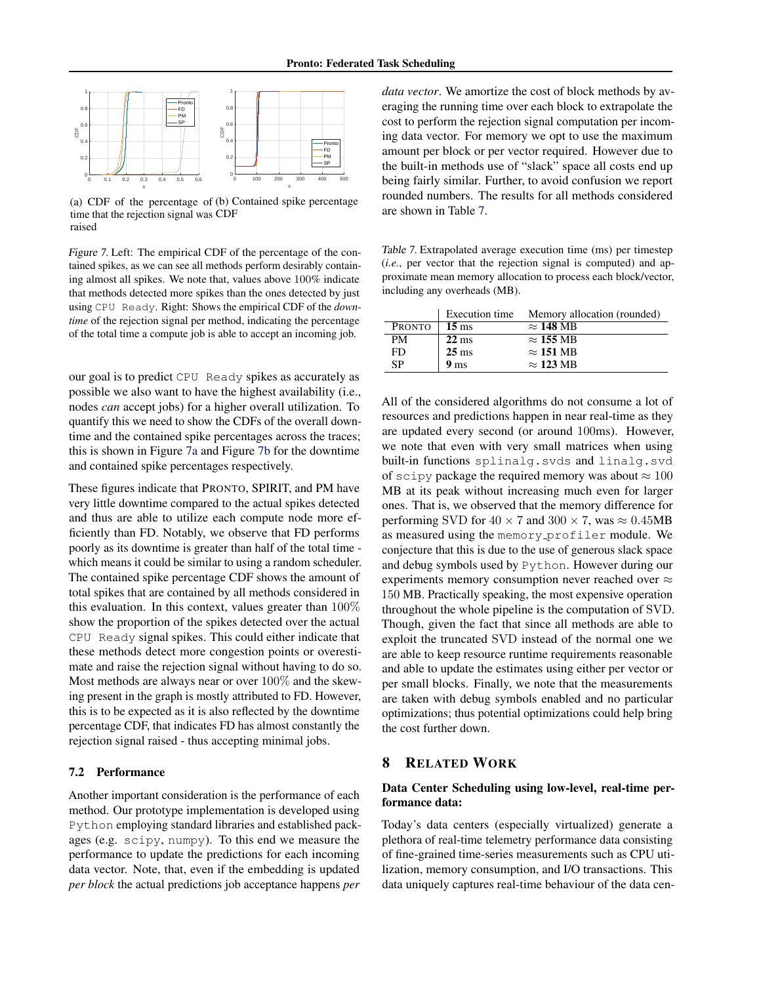

(a) CDF of the percentage of (b) Contained spike percentage time that the rejection signal was CDF raised

Figure 7. Left: The empirical CDF of the percentage of the contained spikes, as we can see all methods perform desirably containing almost all spikes. We note that, values above 100% indicate that methods detected more spikes than the ones detected by just using CPU Ready. Right: Shows the empirical CDF of the *downtime* of the rejection signal per method, indicating the percentage of the total time a compute job is able to accept an incoming job.

our goal is to predict CPU Ready spikes as accurately as possible we also want to have the highest availability (i.e., nodes *can* accept jobs) for a higher overall utilization. To quantify this we need to show the CDFs of the overall downtime and the contained spike percentages across the traces; this is shown in Figure 7a and Figure 7b for the downtime and contained spike percentages respectively.

These figures indicate that PRONTO, SPIRIT, and PM have very little downtime compared to the actual spikes detected and thus are able to utilize each compute node more efficiently than FD. Notably, we observe that FD performs poorly as its downtime is greater than half of the total time which means it could be similar to using a random scheduler. The contained spike percentage CDF shows the amount of total spikes that are contained by all methods considered in this evaluation. In this context, values greater than 100% show the proportion of the spikes detected over the actual CPU Ready signal spikes. This could either indicate that these methods detect more congestion points or overestimate and raise the rejection signal without having to do so. Most methods are always near or over 100% and the skewing present in the graph is mostly attributed to FD. However, this is to be expected as it is also reflected by the downtime percentage CDF, that indicates FD has almost constantly the rejection signal raised - thus accepting minimal jobs.

### 7.2 Performance

Another important consideration is the performance of each method. Our prototype implementation is developed using Python employing standard libraries and established packages (e.g. scipy, numpy). To this end we measure the performance to update the predictions for each incoming data vector. Note, that, even if the embedding is updated *per block* the actual predictions job acceptance happens *per*

*data vector*. We amortize the cost of block methods by averaging the running time over each block to extrapolate the cost to perform the rejection signal computation per incoming data vector. For memory we opt to use the maximum amount per block or per vector required. However due to the built-in methods use of "slack" space all costs end up being fairly similar. Further, to avoid confusion we report rounded numbers. The results for all methods considered are shown in Table 7.

Table 7. Extrapolated average execution time (ms) per timestep (*i.e.*, per vector that the rejection signal is computed) and approximate mean memory allocation to process each block/vector, including any overheads (MB).

|               | Execution time  | Memory allocation (rounded) |
|---------------|-----------------|-----------------------------|
| <b>PRONTO</b> | $15 \text{ ms}$ | $\approx$ 148 MB            |
| <b>PM</b>     | $22 \text{ ms}$ | $\approx$ 155 MB            |
| FD            | $25 \text{ ms}$ | $\approx$ 151 MB            |
| SP            | 9 <sub>ms</sub> | $\approx$ 123 MB            |

All of the considered algorithms do not consume a lot of resources and predictions happen in near real-time as they are updated every second (or around 100ms). However, we note that even with very small matrices when using built-in functions splinalg.svds and linalg.svd of scipy package the required memory was about  $\approx 100$ MB at its peak without increasing much even for larger ones. That is, we observed that the memory difference for performing SVD for  $40 \times 7$  and  $300 \times 7$ , was  $\approx 0.45MB$ as measured using the memory profiler module. We conjecture that this is due to the use of generous slack space and debug symbols used by Python. However during our experiments memory consumption never reached over  $\approx$ 150 MB. Practically speaking, the most expensive operation throughout the whole pipeline is the computation of SVD. Though, given the fact that since all methods are able to exploit the truncated SVD instead of the normal one we are able to keep resource runtime requirements reasonable and able to update the estimates using either per vector or per small blocks. Finally, we note that the measurements are taken with debug symbols enabled and no particular optimizations; thus potential optimizations could help bring the cost further down.

## 8 RELATED WORK

# Data Center Scheduling using low-level, real-time performance data:

Today's data centers (especially virtualized) generate a plethora of real-time telemetry performance data consisting of fine-grained time-series measurements such as CPU utilization, memory consumption, and I/O transactions. This data uniquely captures real-time behaviour of the data cen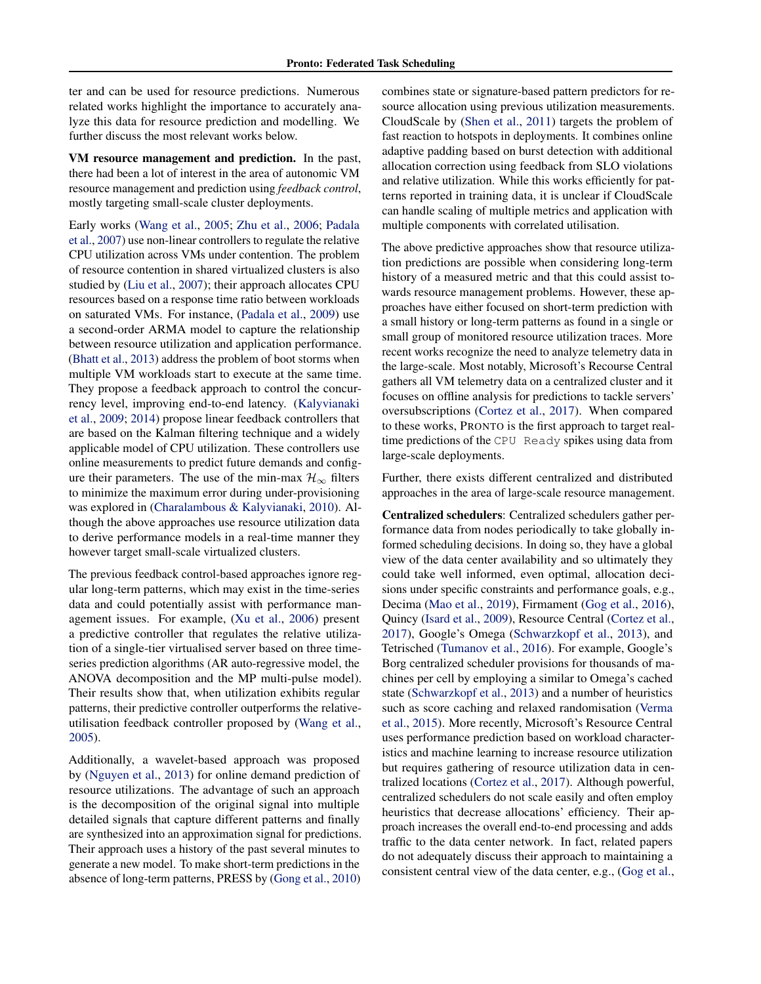ter and can be used for resource predictions. Numerous related works highlight the importance to accurately analyze this data for resource prediction and modelling. We further discuss the most relevant works below.

VM resource management and prediction. In the past, there had been a lot of interest in the area of autonomic VM resource management and prediction using *feedback control*, mostly targeting small-scale cluster deployments.

Early works [\(Wang et al.,](#page-16-0) [2005;](#page-16-0) [Zhu et al.,](#page-16-0) [2006;](#page-16-0) [Padala](#page-15-0) [et al.,](#page-15-0) [2007\)](#page-15-0) use non-linear controllers to regulate the relative CPU utilization across VMs under contention. The problem of resource contention in shared virtualized clusters is also studied by [\(Liu et al.,](#page-14-0) [2007\)](#page-14-0); their approach allocates CPU resources based on a response time ratio between workloads on saturated VMs. For instance, [\(Padala et al.,](#page-15-0) [2009\)](#page-15-0) use a second-order ARMA model to capture the relationship between resource utilization and application performance. [\(Bhatt et al.,](#page-13-0) [2013\)](#page-13-0) address the problem of boot storms when multiple VM workloads start to execute at the same time. They propose a feedback approach to control the concurrency level, improving end-to-end latency. [\(Kalyvianaki](#page-14-0) [et al.,](#page-14-0) [2009;](#page-14-0) [2014\)](#page-14-0) propose linear feedback controllers that are based on the Kalman filtering technique and a widely applicable model of CPU utilization. These controllers use online measurements to predict future demands and configure their parameters. The use of the min-max  $\mathcal{H}_{\infty}$  filters to minimize the maximum error during under-provisioning was explored in [\(Charalambous & Kalyvianaki,](#page-14-0) [2010\)](#page-14-0). Although the above approaches use resource utilization data to derive performance models in a real-time manner they however target small-scale virtualized clusters.

The previous feedback control-based approaches ignore regular long-term patterns, which may exist in the time-series data and could potentially assist with performance management issues. For example, [\(Xu et al.,](#page-16-0) [2006\)](#page-16-0) present a predictive controller that regulates the relative utilization of a single-tier virtualised server based on three timeseries prediction algorithms (AR auto-regressive model, the ANOVA decomposition and the MP multi-pulse model). Their results show that, when utilization exhibits regular patterns, their predictive controller outperforms the relativeutilisation feedback controller proposed by [\(Wang et al.,](#page-16-0) [2005\)](#page-16-0).

Additionally, a wavelet-based approach was proposed by [\(Nguyen et al.,](#page-15-0) [2013\)](#page-15-0) for online demand prediction of resource utilizations. The advantage of such an approach is the decomposition of the original signal into multiple detailed signals that capture different patterns and finally are synthesized into an approximation signal for predictions. Their approach uses a history of the past several minutes to generate a new model. To make short-term predictions in the absence of long-term patterns, PRESS by [\(Gong et al.,](#page-14-0) [2010\)](#page-14-0) combines state or signature-based pattern predictors for resource allocation using previous utilization measurements. CloudScale by [\(Shen et al.,](#page-15-0) [2011\)](#page-15-0) targets the problem of fast reaction to hotspots in deployments. It combines online adaptive padding based on burst detection with additional allocation correction using feedback from SLO violations and relative utilization. While this works efficiently for patterns reported in training data, it is unclear if CloudScale can handle scaling of multiple metrics and application with multiple components with correlated utilisation.

The above predictive approaches show that resource utilization predictions are possible when considering long-term history of a measured metric and that this could assist towards resource management problems. However, these approaches have either focused on short-term prediction with a small history or long-term patterns as found in a single or small group of monitored resource utilization traces. More recent works recognize the need to analyze telemetry data in the large-scale. Most notably, Microsoft's Recourse Central gathers all VM telemetry data on a centralized cluster and it focuses on offline analysis for predictions to tackle servers' oversubscriptions [\(Cortez et al.,](#page-14-0) [2017\)](#page-14-0). When compared to these works, PRONTO is the first approach to target realtime predictions of the CPU Ready spikes using data from large-scale deployments.

Further, there exists different centralized and distributed approaches in the area of large-scale resource management.

Centralized schedulers: Centralized schedulers gather performance data from nodes periodically to take globally informed scheduling decisions. In doing so, they have a global view of the data center availability and so ultimately they could take well informed, even optimal, allocation decisions under specific constraints and performance goals, e.g., Decima [\(Mao et al.,](#page-14-0) [2019\)](#page-14-0), Firmament [\(Gog et al.,](#page-14-0) [2016\)](#page-14-0), Quincy [\(Isard et al.,](#page-14-0) [2009\)](#page-14-0), Resource Central [\(Cortez et al.,](#page-14-0) [2017\)](#page-14-0), Google's Omega [\(Schwarzkopf et al.,](#page-15-0) [2013\)](#page-15-0), and Tetrisched [\(Tumanov et al.,](#page-15-0) [2016\)](#page-15-0). For example, Google's Borg centralized scheduler provisions for thousands of machines per cell by employing a similar to Omega's cached state [\(Schwarzkopf et al.,](#page-15-0) [2013\)](#page-15-0) and a number of heuristics such as score caching and relaxed randomisation [\(Verma](#page-15-0) [et al.,](#page-15-0) [2015\)](#page-15-0). More recently, Microsoft's Resource Central uses performance prediction based on workload characteristics and machine learning to increase resource utilization but requires gathering of resource utilization data in centralized locations [\(Cortez et al.,](#page-14-0) [2017\)](#page-14-0). Although powerful, centralized schedulers do not scale easily and often employ heuristics that decrease allocations' efficiency. Their approach increases the overall end-to-end processing and adds traffic to the data center network. In fact, related papers do not adequately discuss their approach to maintaining a consistent central view of the data center, e.g., [\(Gog et al.,](#page-14-0)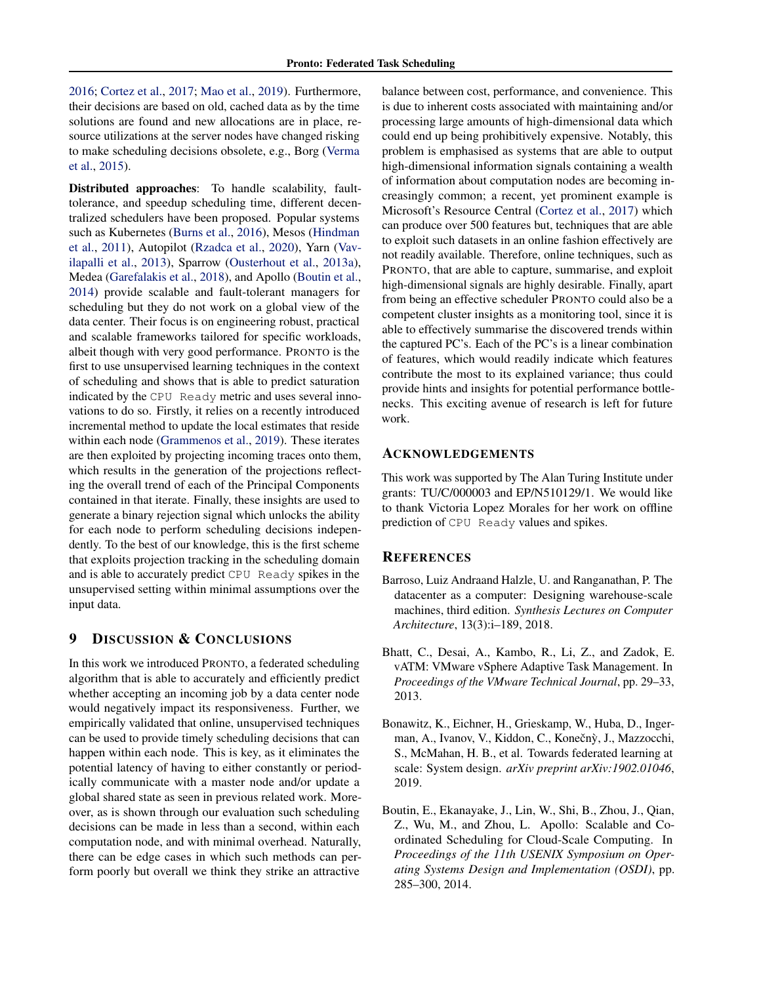<span id="page-13-0"></span>[2016;](#page-14-0) [Cortez et al.,](#page-14-0) [2017;](#page-14-0) [Mao et al.,](#page-14-0) [2019\)](#page-14-0). Furthermore, their decisions are based on old, cached data as by the time solutions are found and new allocations are in place, resource utilizations at the server nodes have changed risking to make scheduling decisions obsolete, e.g., Borg [\(Verma](#page-15-0) [et al.,](#page-15-0) [2015\)](#page-15-0).

Distributed approaches: To handle scalability, faulttolerance, and speedup scheduling time, different decentralized schedulers have been proposed. Popular systems such as Kubernetes [\(Burns et al.,](#page-14-0) [2016\)](#page-14-0), Mesos [\(Hindman](#page-14-0) [et al.,](#page-14-0) [2011\)](#page-14-0), Autopilot [\(Rzadca et al.,](#page-15-0) [2020\)](#page-15-0), Yarn [\(Vav](#page-15-0)[ilapalli et al.,](#page-15-0) [2013\)](#page-15-0), Sparrow [\(Ousterhout et al.,](#page-15-0) [2013a\)](#page-15-0), Medea [\(Garefalakis et al.,](#page-14-0) [2018\)](#page-14-0), and Apollo (Boutin et al., 2014) provide scalable and fault-tolerant managers for scheduling but they do not work on a global view of the data center. Their focus is on engineering robust, practical and scalable frameworks tailored for specific workloads, albeit though with very good performance. PRONTO is the first to use unsupervised learning techniques in the context of scheduling and shows that is able to predict saturation indicated by the CPU Ready metric and uses several innovations to do so. Firstly, it relies on a recently introduced incremental method to update the local estimates that reside within each node [\(Grammenos et al.,](#page-14-0) [2019\)](#page-14-0). These iterates are then exploited by projecting incoming traces onto them, which results in the generation of the projections reflecting the overall trend of each of the Principal Components contained in that iterate. Finally, these insights are used to generate a binary rejection signal which unlocks the ability for each node to perform scheduling decisions independently. To the best of our knowledge, this is the first scheme that exploits projection tracking in the scheduling domain and is able to accurately predict CPU Ready spikes in the unsupervised setting within minimal assumptions over the input data.

# 9 DISCUSSION & CONCLUSIONS

In this work we introduced PRONTO, a federated scheduling algorithm that is able to accurately and efficiently predict whether accepting an incoming job by a data center node would negatively impact its responsiveness. Further, we empirically validated that online, unsupervised techniques can be used to provide timely scheduling decisions that can happen within each node. This is key, as it eliminates the potential latency of having to either constantly or periodically communicate with a master node and/or update a global shared state as seen in previous related work. Moreover, as is shown through our evaluation such scheduling decisions can be made in less than a second, within each computation node, and with minimal overhead. Naturally, there can be edge cases in which such methods can perform poorly but overall we think they strike an attractive

balance between cost, performance, and convenience. This is due to inherent costs associated with maintaining and/or processing large amounts of high-dimensional data which could end up being prohibitively expensive. Notably, this problem is emphasised as systems that are able to output high-dimensional information signals containing a wealth of information about computation nodes are becoming increasingly common; a recent, yet prominent example is Microsoft's Resource Central [\(Cortez et al.,](#page-14-0) [2017\)](#page-14-0) which can produce over 500 features but, techniques that are able to exploit such datasets in an online fashion effectively are not readily available. Therefore, online techniques, such as PRONTO, that are able to capture, summarise, and exploit high-dimensional signals are highly desirable. Finally, apart from being an effective scheduler PRONTO could also be a competent cluster insights as a monitoring tool, since it is able to effectively summarise the discovered trends within the captured PC's. Each of the PC's is a linear combination of features, which would readily indicate which features contribute the most to its explained variance; thus could provide hints and insights for potential performance bottlenecks. This exciting avenue of research is left for future work.

### ACKNOWLEDGEMENTS

This work was supported by The Alan Turing Institute under grants: TU/C/000003 and EP/N510129/1. We would like to thank Victoria Lopez Morales for her work on offline prediction of CPU Ready values and spikes.

## **REFERENCES**

- Barroso, Luiz Andraand Halzle, U. and Ranganathan, P. The datacenter as a computer: Designing warehouse-scale machines, third edition. *Synthesis Lectures on Computer Architecture*, 13(3):i–189, 2018.
- Bhatt, C., Desai, A., Kambo, R., Li, Z., and Zadok, E. vATM: VMware vSphere Adaptive Task Management. In *Proceedings of the VMware Technical Journal*, pp. 29–33, 2013.
- Bonawitz, K., Eichner, H., Grieskamp, W., Huba, D., Ingerman, A., Ivanov, V., Kiddon, C., Konečný, J., Mazzocchi, S., McMahan, H. B., et al. Towards federated learning at scale: System design. *arXiv preprint arXiv:1902.01046*, 2019.
- Boutin, E., Ekanayake, J., Lin, W., Shi, B., Zhou, J., Qian, Z., Wu, M., and Zhou, L. Apollo: Scalable and Coordinated Scheduling for Cloud-Scale Computing. In *Proceedings of the 11th USENIX Symposium on Operating Systems Design and Implementation (OSDI)*, pp. 285–300, 2014.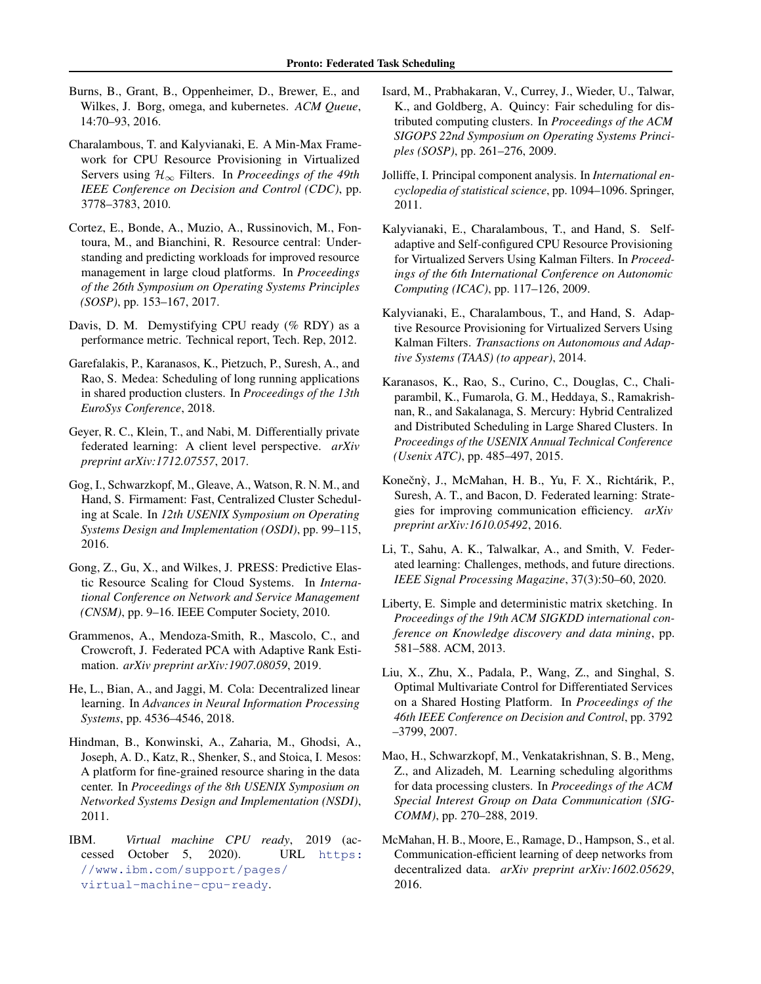- <span id="page-14-0"></span>Burns, B., Grant, B., Oppenheimer, D., Brewer, E., and Wilkes, J. Borg, omega, and kubernetes. *ACM Queue*, 14:70–93, 2016.
- Charalambous, T. and Kalyvianaki, E. A Min-Max Framework for CPU Resource Provisioning in Virtualized Servers using H<sup>∞</sup> Filters. In *Proceedings of the 49th IEEE Conference on Decision and Control (CDC)*, pp. 3778–3783, 2010.
- Cortez, E., Bonde, A., Muzio, A., Russinovich, M., Fontoura, M., and Bianchini, R. Resource central: Understanding and predicting workloads for improved resource management in large cloud platforms. In *Proceedings of the 26th Symposium on Operating Systems Principles (SOSP)*, pp. 153–167, 2017.
- Davis, D. M. Demystifying CPU ready (% RDY) as a performance metric. Technical report, Tech. Rep, 2012.
- Garefalakis, P., Karanasos, K., Pietzuch, P., Suresh, A., and Rao, S. Medea: Scheduling of long running applications in shared production clusters. In *Proceedings of the 13th EuroSys Conference*, 2018.
- Geyer, R. C., Klein, T., and Nabi, M. Differentially private federated learning: A client level perspective. *arXiv preprint arXiv:1712.07557*, 2017.
- Gog, I., Schwarzkopf, M., Gleave, A., Watson, R. N. M., and Hand, S. Firmament: Fast, Centralized Cluster Scheduling at Scale. In *12th USENIX Symposium on Operating Systems Design and Implementation (OSDI)*, pp. 99–115, 2016.
- Gong, Z., Gu, X., and Wilkes, J. PRESS: Predictive Elastic Resource Scaling for Cloud Systems. In *International Conference on Network and Service Management (CNSM)*, pp. 9–16. IEEE Computer Society, 2010.
- Grammenos, A., Mendoza-Smith, R., Mascolo, C., and Crowcroft, J. Federated PCA with Adaptive Rank Estimation. *arXiv preprint arXiv:1907.08059*, 2019.
- He, L., Bian, A., and Jaggi, M. Cola: Decentralized linear learning. In *Advances in Neural Information Processing Systems*, pp. 4536–4546, 2018.
- Hindman, B., Konwinski, A., Zaharia, M., Ghodsi, A., Joseph, A. D., Katz, R., Shenker, S., and Stoica, I. Mesos: A platform for fine-grained resource sharing in the data center. In *Proceedings of the 8th USENIX Symposium on Networked Systems Design and Implementation (NSDI)*, 2011.
- IBM. *Virtual machine CPU ready*, 2019 (accessed October 5, 2020). URL [https:](https://www.ibm.com/support/pages/virtual-machine-cpu-ready) [//www.ibm.com/support/pages/](https://www.ibm.com/support/pages/virtual-machine-cpu-ready) [virtual-machine-cpu-ready](https://www.ibm.com/support/pages/virtual-machine-cpu-ready).
- Isard, M., Prabhakaran, V., Currey, J., Wieder, U., Talwar, K., and Goldberg, A. Quincy: Fair scheduling for distributed computing clusters. In *Proceedings of the ACM SIGOPS 22nd Symposium on Operating Systems Principles (SOSP)*, pp. 261–276, 2009.
- Jolliffe, I. Principal component analysis. In *International encyclopedia of statistical science*, pp. 1094–1096. Springer, 2011.
- Kalyvianaki, E., Charalambous, T., and Hand, S. Selfadaptive and Self-configured CPU Resource Provisioning for Virtualized Servers Using Kalman Filters. In *Proceedings of the 6th International Conference on Autonomic Computing (ICAC)*, pp. 117–126, 2009.
- Kalyvianaki, E., Charalambous, T., and Hand, S. Adaptive Resource Provisioning for Virtualized Servers Using Kalman Filters. *Transactions on Autonomous and Adaptive Systems (TAAS) (to appear)*, 2014.
- Karanasos, K., Rao, S., Curino, C., Douglas, C., Chaliparambil, K., Fumarola, G. M., Heddaya, S., Ramakrishnan, R., and Sakalanaga, S. Mercury: Hybrid Centralized and Distributed Scheduling in Large Shared Clusters. In *Proceedings of the USENIX Annual Technical Conference (Usenix ATC)*, pp. 485–497, 2015.
- Konečnỳ, J., McMahan, H. B., Yu, F. X., Richtárik, P., Suresh, A. T., and Bacon, D. Federated learning: Strategies for improving communication efficiency. *arXiv preprint arXiv:1610.05492*, 2016.
- Li, T., Sahu, A. K., Talwalkar, A., and Smith, V. Federated learning: Challenges, methods, and future directions. *IEEE Signal Processing Magazine*, 37(3):50–60, 2020.
- Liberty, E. Simple and deterministic matrix sketching. In *Proceedings of the 19th ACM SIGKDD international conference on Knowledge discovery and data mining*, pp. 581–588. ACM, 2013.
- Liu, X., Zhu, X., Padala, P., Wang, Z., and Singhal, S. Optimal Multivariate Control for Differentiated Services on a Shared Hosting Platform. In *Proceedings of the 46th IEEE Conference on Decision and Control*, pp. 3792 –3799, 2007.
- Mao, H., Schwarzkopf, M., Venkatakrishnan, S. B., Meng, Z., and Alizadeh, M. Learning scheduling algorithms for data processing clusters. In *Proceedings of the ACM Special Interest Group on Data Communication (SIG-COMM)*, pp. 270–288, 2019.
- McMahan, H. B., Moore, E., Ramage, D., Hampson, S., et al. Communication-efficient learning of deep networks from decentralized data. *arXiv preprint arXiv:1602.05629*, 2016.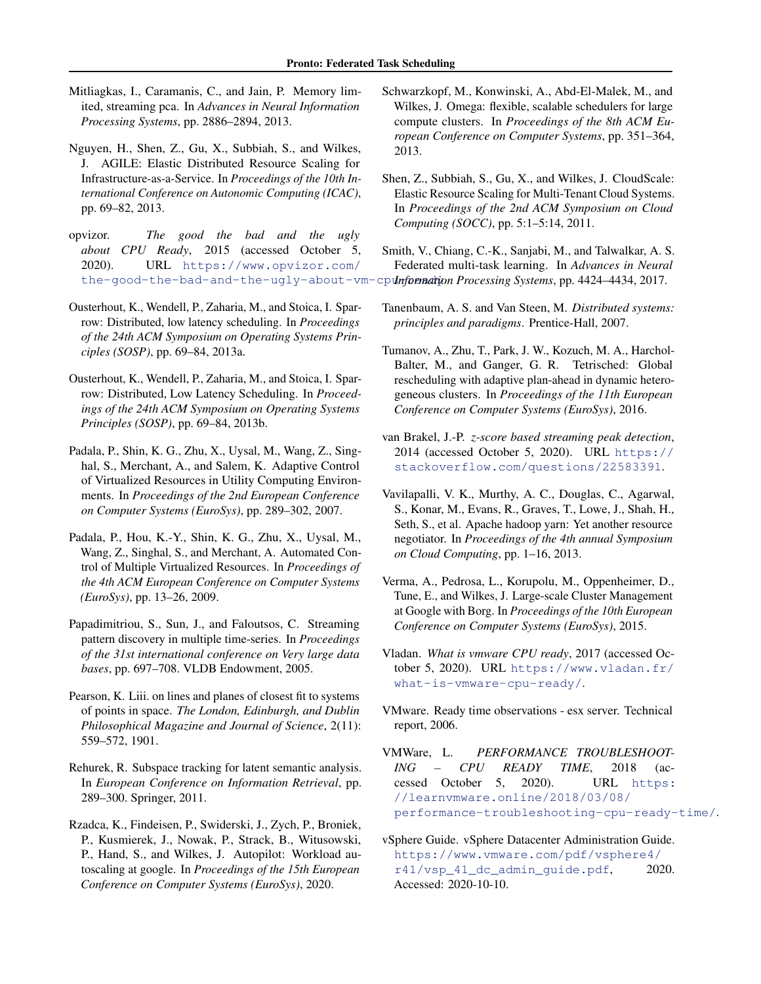- <span id="page-15-0"></span>Mitliagkas, I., Caramanis, C., and Jain, P. Memory limited, streaming pca. In *Advances in Neural Information Processing Systems*, pp. 2886–2894, 2013.
- Nguyen, H., Shen, Z., Gu, X., Subbiah, S., and Wilkes, J. AGILE: Elastic Distributed Resource Scaling for Infrastructure-as-a-Service. In *Proceedings of the 10th International Conference on Autonomic Computing (ICAC)*, pp. 69–82, 2013.
- opvizor. *The good the bad and the ugly about CPU Ready*, 2015 (accessed October 5, 2020). URL [https://www.opvizor.com/](https://www.opvizor.com/the-good-the-bad-and-the-ugly-about-vm-cpu-ready) the-good-the-bad-and-the-ugly-about-vm-cp**unfornadion Processing Systems, pp. 4424–4434, 2017.**
- Ousterhout, K., Wendell, P., Zaharia, M., and Stoica, I. Sparrow: Distributed, low latency scheduling. In *Proceedings of the 24th ACM Symposium on Operating Systems Principles (SOSP)*, pp. 69–84, 2013a.
- Ousterhout, K., Wendell, P., Zaharia, M., and Stoica, I. Sparrow: Distributed, Low Latency Scheduling. In *Proceedings of the 24th ACM Symposium on Operating Systems Principles (SOSP)*, pp. 69–84, 2013b.
- Padala, P., Shin, K. G., Zhu, X., Uysal, M., Wang, Z., Singhal, S., Merchant, A., and Salem, K. Adaptive Control of Virtualized Resources in Utility Computing Environments. In *Proceedings of the 2nd European Conference on Computer Systems (EuroSys)*, pp. 289–302, 2007.
- Padala, P., Hou, K.-Y., Shin, K. G., Zhu, X., Uysal, M., Wang, Z., Singhal, S., and Merchant, A. Automated Control of Multiple Virtualized Resources. In *Proceedings of the 4th ACM European Conference on Computer Systems (EuroSys)*, pp. 13–26, 2009.
- Papadimitriou, S., Sun, J., and Faloutsos, C. Streaming pattern discovery in multiple time-series. In *Proceedings of the 31st international conference on Very large data bases*, pp. 697–708. VLDB Endowment, 2005.
- Pearson, K. Liii. on lines and planes of closest fit to systems of points in space. *The London, Edinburgh, and Dublin Philosophical Magazine and Journal of Science*, 2(11): 559–572, 1901.
- Rehurek, R. Subspace tracking for latent semantic analysis. In *European Conference on Information Retrieval*, pp. 289–300. Springer, 2011.
- Rzadca, K., Findeisen, P., Swiderski, J., Zych, P., Broniek, P., Kusmierek, J., Nowak, P., Strack, B., Witusowski, P., Hand, S., and Wilkes, J. Autopilot: Workload autoscaling at google. In *Proceedings of the 15th European Conference on Computer Systems (EuroSys)*, 2020.
- Schwarzkopf, M., Konwinski, A., Abd-El-Malek, M., and Wilkes, J. Omega: flexible, scalable schedulers for large compute clusters. In *Proceedings of the 8th ACM European Conference on Computer Systems*, pp. 351–364, 2013.
- Shen, Z., Subbiah, S., Gu, X., and Wilkes, J. CloudScale: Elastic Resource Scaling for Multi-Tenant Cloud Systems. In *Proceedings of the 2nd ACM Symposium on Cloud Computing (SOCC)*, pp. 5:1–5:14, 2011.
- Smith, V., Chiang, C.-K., Sanjabi, M., and Talwalkar, A. S. Federated multi-task learning. In *Advances in Neural*
- Tanenbaum, A. S. and Van Steen, M. *Distributed systems: principles and paradigms*. Prentice-Hall, 2007.
- Tumanov, A., Zhu, T., Park, J. W., Kozuch, M. A., Harchol-Balter, M., and Ganger, G. R. Tetrisched: Global rescheduling with adaptive plan-ahead in dynamic heterogeneous clusters. In *Proceedings of the 11th European Conference on Computer Systems (EuroSys)*, 2016.
- van Brakel, J.-P. *z-score based streaming peak detection*, 2014 (accessed October 5, 2020). URL [https://](https://stackoverflow.com/questions/22583391) [stackoverflow.com/questions/22583391](https://stackoverflow.com/questions/22583391).
- Vavilapalli, V. K., Murthy, A. C., Douglas, C., Agarwal, S., Konar, M., Evans, R., Graves, T., Lowe, J., Shah, H., Seth, S., et al. Apache hadoop yarn: Yet another resource negotiator. In *Proceedings of the 4th annual Symposium on Cloud Computing*, pp. 1–16, 2013.
- Verma, A., Pedrosa, L., Korupolu, M., Oppenheimer, D., Tune, E., and Wilkes, J. Large-scale Cluster Management at Google with Borg. In *Proceedings of the 10th European Conference on Computer Systems (EuroSys)*, 2015.
- Vladan. *What is vmware CPU ready*, 2017 (accessed October 5, 2020). URL [https://www.vladan.fr/](https://www.vladan.fr/what-is-vmware-cpu-ready/) [what-is-vmware-cpu-ready/](https://www.vladan.fr/what-is-vmware-cpu-ready/).
- VMware. Ready time observations esx server. Technical report, 2006.
- VMWare, L. *PERFORMANCE TROUBLESHOOT-ING – CPU READY TIME*, 2018 (accessed October 5, 2020). URL [https:](https://learnvmware.online/2018/03/08/performance-troubleshooting-cpu-ready-time/) [//learnvmware.online/2018/03/08/](https://learnvmware.online/2018/03/08/performance-troubleshooting-cpu-ready-time/) [performance-troubleshooting-cpu-ready-time/](https://learnvmware.online/2018/03/08/performance-troubleshooting-cpu-ready-time/).
- vSphere Guide. vSphere Datacenter Administration Guide. [https://www.vmware.com/pdf/vsphere4/](https://www.vmware.com/pdf/vsphere4/r41/vsp_41_dc_admin_guide.pdf)  $r41/vsp$  41 dc admin quide.pdf, 2020. Accessed: 2020-10-10.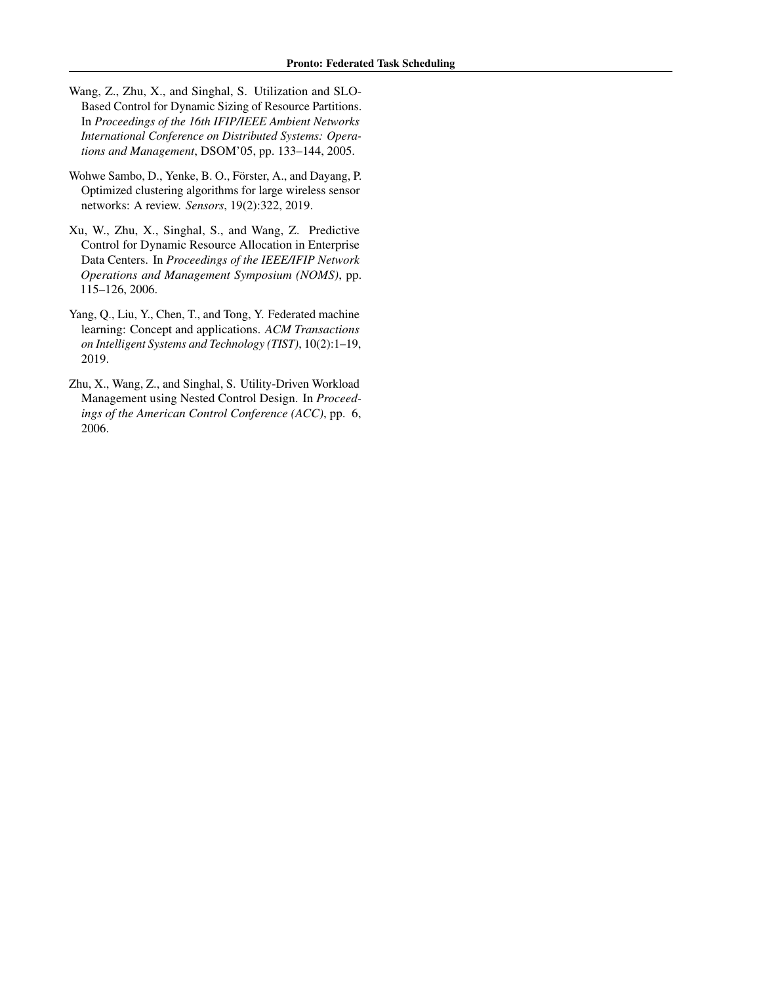- <span id="page-16-0"></span>Wang, Z., Zhu, X., and Singhal, S. Utilization and SLO-Based Control for Dynamic Sizing of Resource Partitions. In *Proceedings of the 16th IFIP/IEEE Ambient Networks International Conference on Distributed Systems: Operations and Management*, DSOM'05, pp. 133–144, 2005.
- Wohwe Sambo, D., Yenke, B. O., Förster, A., and Dayang, P. Optimized clustering algorithms for large wireless sensor networks: A review. *Sensors*, 19(2):322, 2019.
- Xu, W., Zhu, X., Singhal, S., and Wang, Z. Predictive Control for Dynamic Resource Allocation in Enterprise Data Centers. In *Proceedings of the IEEE/IFIP Network Operations and Management Symposium (NOMS)*, pp. 115–126, 2006.
- Yang, Q., Liu, Y., Chen, T., and Tong, Y. Federated machine learning: Concept and applications. *ACM Transactions on Intelligent Systems and Technology (TIST)*, 10(2):1–19, 2019.
- Zhu, X., Wang, Z., and Singhal, S. Utility-Driven Workload Management using Nested Control Design. In *Proceedings of the American Control Conference (ACC)*, pp. 6, 2006.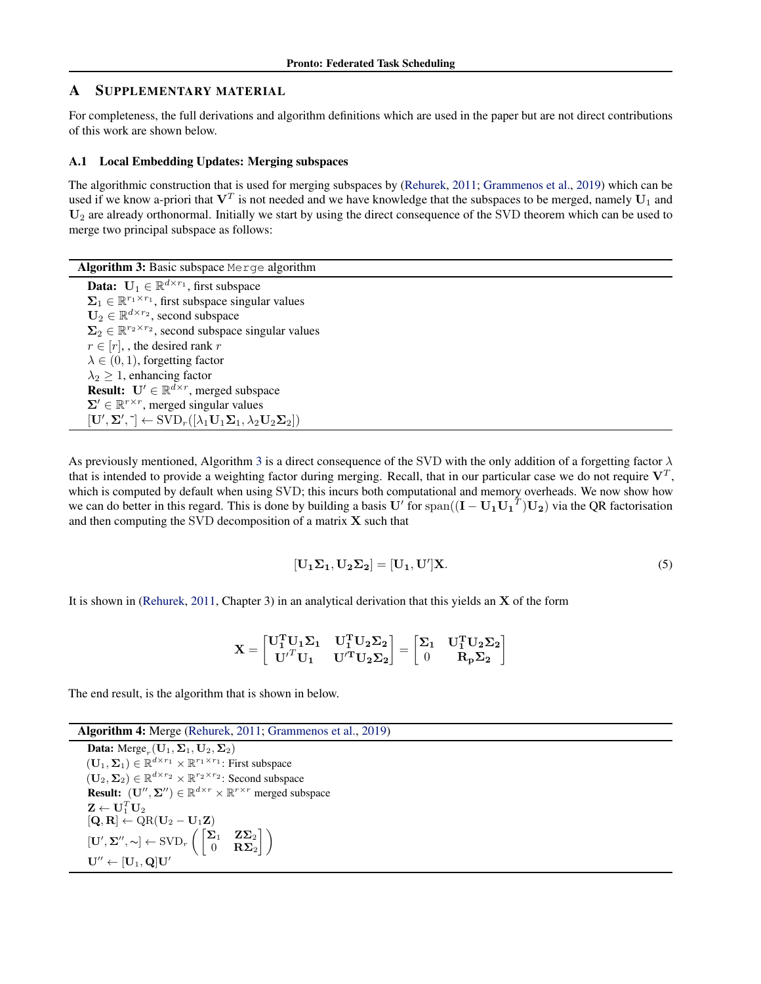# <span id="page-17-0"></span>A SUPPLEMENTARY MATERIAL

For completeness, the full derivations and algorithm definitions which are used in the paper but are not direct contributions of this work are shown below.

# A.1 Local Embedding Updates: Merging subspaces

The algorithmic construction that is used for merging subspaces by [\(Rehurek,](#page-15-0) [2011;](#page-15-0) [Grammenos et al.,](#page-14-0) [2019\)](#page-14-0) which can be used if we know a-priori that  $V^T$  is not needed and we have knowledge that the subspaces to be merged, namely  $U_1$  and  $U_2$  are already orthonormal. Initially we start by using the direct consequence of the SVD theorem which can be used to merge two principal subspace as follows:

Algorithm 3: Basic subspace Merge algorithm

**Data:**  $\mathbf{U}_1 \in \mathbb{R}^{d \times r_1}$ , first subspace  $\Sigma_1 \in \mathbb{R}^{r_1 \times r_1}$ , first subspace singular values  $\mathbf{U}_2 \in \mathbb{R}^{d \times r_2}$ , second subspace  $\Sigma_2 \in \mathbb{R}^{r_2 \times r_2}$ , second subspace singular values  $r \in [r]$ , the desired rank r  $\lambda \in (0, 1)$ , forgetting factor  $\lambda_2 \geq 1$ , enhancing factor **Result:**  $U' \in \mathbb{R}^{\overline{d} \times r}$ , merged subspace  $\Sigma' \in \mathbb{R}^{r \times r}$ , merged singular values  $[\mathbf{U}', \boldsymbol{\Sigma}', \tilde{\ }) \leftarrow \text{SVD}_r([\lambda_1 \mathbf{U}_1 \boldsymbol{\Sigma}_1, \lambda_2 \mathbf{U}_2 \boldsymbol{\Sigma}_2])$ 

As previously mentioned, Algorithm 3 is a direct consequence of the SVD with the only addition of a forgetting factor  $\lambda$ that is intended to provide a weighting factor during merging. Recall, that in our particular case we do not require  $V^T$ , which is computed by default when using SVD; this incurs both computational and memory overheads. We now show how we can do better in this regard. This is done by building a basis U' for span $((I - U_1U_1^T)U_2)$  via the QR factorisation and then computing the SVD decomposition of a matrix  $X$  such that

$$
[\mathbf{U}_1 \Sigma_1, \mathbf{U}_2 \Sigma_2] = [\mathbf{U}_1, \mathbf{U}'] \mathbf{X}.
$$
 (5)

It is shown in [\(Rehurek,](#page-15-0) [2011,](#page-15-0) Chapter 3) in an analytical derivation that this yields an X of the form

$$
\mathbf{X} = \begin{bmatrix} \mathbf{U_1^T} \mathbf{U_1} \boldsymbol{\Sigma_1} & \mathbf{U_1^T} \mathbf{U_2} \boldsymbol{\Sigma_2} \\ {\mathbf{U}^{\prime}}^T \mathbf{U_1} & {\mathbf{U}^{\prime}}^T \mathbf{U_2} \boldsymbol{\Sigma_2} \end{bmatrix} = \begin{bmatrix} \boldsymbol{\Sigma_1} & \mathbf{U_1^T} \mathbf{U_2} \boldsymbol{\Sigma_2} \\ 0 & \mathbf{R_p} \boldsymbol{\Sigma_2} \end{bmatrix}
$$

The end result, is the algorithm that is shown in below.

Algorithm 4: Merge [\(Rehurek,](#page-15-0) [2011;](#page-15-0) [Grammenos et al.,](#page-14-0) [2019\)](#page-14-0) **Data:**  $\text{Merge}_r(\mathbf{U}_1, \boldsymbol{\Sigma}_1, \mathbf{U}_2, \boldsymbol{\Sigma}_2)$  $(\mathbf{U}_1, \Sigma_1) \in \mathbb{R}^{d \times r_1} \times \mathbb{R}^{r_1 \times r_1}$ : First subspace  $(\mathbf{U}_2, \boldsymbol{\Sigma}_2) \in \mathbb{R}^{d \times r_2} \times \mathbb{R}^{r_2 \times r_2}$ : Second subspace **Result:**  $(\mathbf{U}'', \mathbf{\Sigma}'') \in \mathbb{R}^{d \times r} \times \mathbb{R}^{r \times r}$  merged subspace  $\mathbf{Z} \leftarrow \mathbf{U}_1^T \mathbf{U}_2$  $[\mathbf{Q}, \mathbf{R}] \leftarrow \text{QR}(\mathbf{U}_2 - \mathbf{U}_1\mathbf{Z})$  $[\mathbf{U}', \mathbf{\Sigma}'', \sim] \leftarrow \text{SVD}_r \left( \begin{bmatrix} \mathbf{\Sigma}_1 & \mathbf{Z}\mathbf{\Sigma}_2 \ 0 & \mathbf{B}\mathbf{\Sigma}_1 \end{bmatrix} \right)$  $0$   $\mathbf{R\Sigma}_2$ 17  $\mathbf{U}'' \leftarrow [\mathbf{U}_1, \mathbf{Q}] \mathbf{U}'$